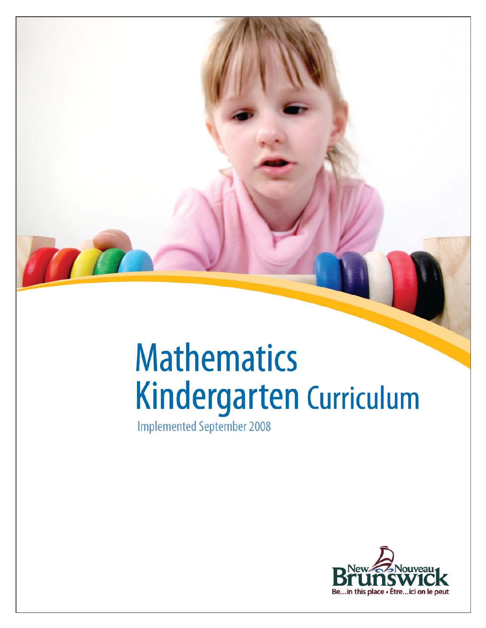# **Mathematics** Kindergarten Curriculum

**Implemented September 2008** 

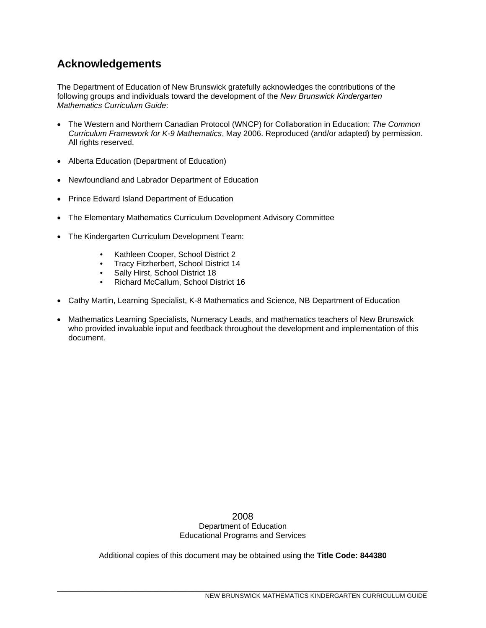# **Acknowledgements**

The Department of Education of New Brunswick gratefully acknowledges the contributions of the following groups and individuals toward the development of the *New Brunswick Kindergarten Mathematics Curriculum Guide*:

- The Western and Northern Canadian Protocol (WNCP) for Collaboration in Education: *The Common Curriculum Framework for K-9 Mathematics*, May 2006. Reproduced (and/or adapted) by permission. All rights reserved.
- Alberta Education (Department of Education)
- Newfoundland and Labrador Department of Education
- Prince Edward Island Department of Education
- The Elementary Mathematics Curriculum Development Advisory Committee
- The Kindergarten Curriculum Development Team:
	- Kathleen Cooper, School District 2<br>• Tracy Fitzherhert, School District 14
	- Tracy Fitzherbert, School District 14<br>• Sally Hirst School District 18
	- Sally Hirst, School District 18
	- Richard McCallum, School District 16
- Cathy Martin, Learning Specialist, K-8 Mathematics and Science, NB Department of Education
- Mathematics Learning Specialists, Numeracy Leads, and mathematics teachers of New Brunswick who provided invaluable input and feedback throughout the development and implementation of this document.

2008 Department of Education Educational Programs and Services

Additional copies of this document may be obtained using the **Title Code: 844380**

\_\_\_\_\_\_\_\_\_\_\_\_\_\_\_\_\_\_\_\_\_\_\_\_\_\_\_\_\_\_\_\_\_\_\_\_\_\_\_\_\_\_\_\_\_\_\_\_\_\_\_\_\_\_\_\_\_\_\_\_\_\_\_\_\_\_\_\_\_\_\_\_\_\_\_\_\_\_\_\_\_\_\_\_\_\_\_\_\_\_\_\_\_\_\_\_\_\_\_\_\_\_\_\_\_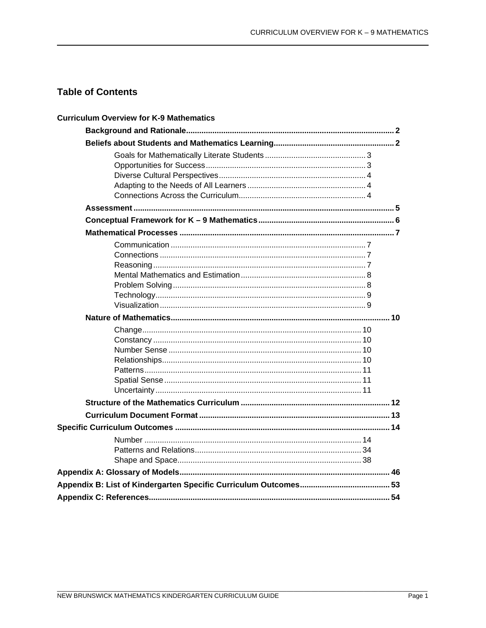# **Table of Contents**

| <b>Curriculum Overview for K-9 Mathematics</b> |  |
|------------------------------------------------|--|
|                                                |  |
|                                                |  |
|                                                |  |
|                                                |  |
|                                                |  |
|                                                |  |
|                                                |  |
|                                                |  |
|                                                |  |
|                                                |  |
|                                                |  |
|                                                |  |
|                                                |  |
|                                                |  |
|                                                |  |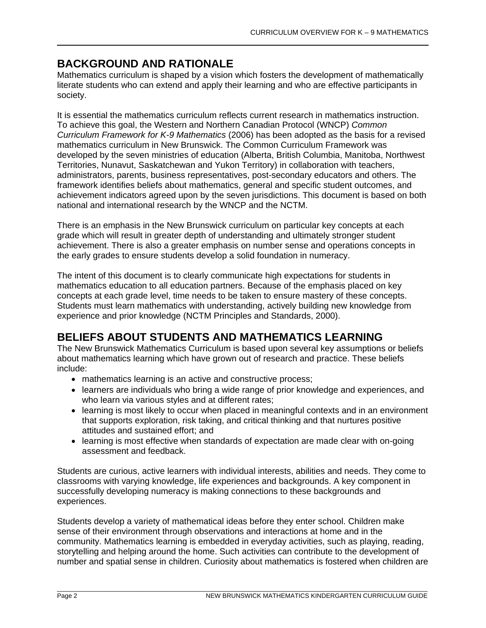# **BACKGROUND AND RATIONALE**

Mathematics curriculum is shaped by a vision which fosters the development of mathematically literate students who can extend and apply their learning and who are effective participants in society.

It is essential the mathematics curriculum reflects current research in mathematics instruction. To achieve this goal, the Western and Northern Canadian Protocol (WNCP) *Common Curriculum Framework for K-9 Mathematics* (2006) has been adopted as the basis for a revised mathematics curriculum in New Brunswick. The Common Curriculum Framework was developed by the seven ministries of education (Alberta, British Columbia, Manitoba, Northwest Territories, Nunavut, Saskatchewan and Yukon Territory) in collaboration with teachers, administrators, parents, business representatives, post-secondary educators and others. The framework identifies beliefs about mathematics, general and specific student outcomes, and achievement indicators agreed upon by the seven jurisdictions. This document is based on both national and international research by the WNCP and the NCTM.

There is an emphasis in the New Brunswick curriculum on particular key concepts at each grade which will result in greater depth of understanding and ultimately stronger student achievement. There is also a greater emphasis on number sense and operations concepts in the early grades to ensure students develop a solid foundation in numeracy.

The intent of this document is to clearly communicate high expectations for students in mathematics education to all education partners. Because of the emphasis placed on key concepts at each grade level, time needs to be taken to ensure mastery of these concepts. Students must learn mathematics with understanding, actively building new knowledge from experience and prior knowledge (NCTM Principles and Standards, 2000).

# **BELIEFS ABOUT STUDENTS AND MATHEMATICS LEARNING**

The New Brunswick Mathematics Curriculum is based upon several key assumptions or beliefs about mathematics learning which have grown out of research and practice. These beliefs include:

- mathematics learning is an active and constructive process;
- learners are individuals who bring a wide range of prior knowledge and experiences, and who learn via various styles and at different rates;
- learning is most likely to occur when placed in meaningful contexts and in an environment that supports exploration, risk taking, and critical thinking and that nurtures positive attitudes and sustained effort; and
- learning is most effective when standards of expectation are made clear with on-going assessment and feedback.

Students are curious, active learners with individual interests, abilities and needs. They come to classrooms with varying knowledge, life experiences and backgrounds. A key component in successfully developing numeracy is making connections to these backgrounds and experiences.

Students develop a variety of mathematical ideas before they enter school. Children make sense of their environment through observations and interactions at home and in the community. Mathematics learning is embedded in everyday activities, such as playing, reading, storytelling and helping around the home. Such activities can contribute to the development of number and spatial sense in children. Curiosity about mathematics is fostered when children are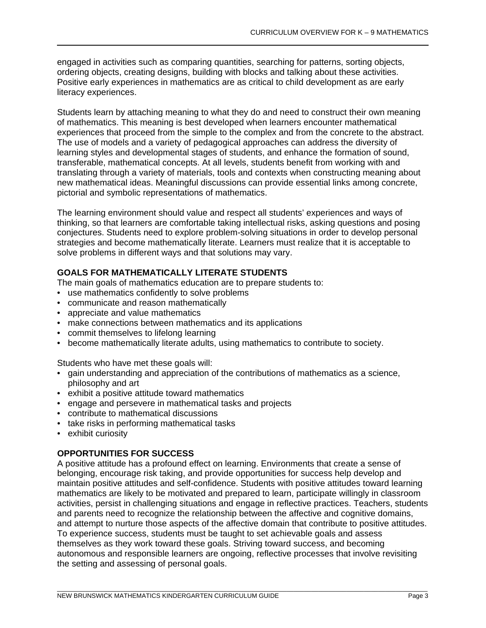engaged in activities such as comparing quantities, searching for patterns, sorting objects, ordering objects, creating designs, building with blocks and talking about these activities. Positive early experiences in mathematics are as critical to child development as are early literacy experiences.

Students learn by attaching meaning to what they do and need to construct their own meaning of mathematics. This meaning is best developed when learners encounter mathematical experiences that proceed from the simple to the complex and from the concrete to the abstract. The use of models and a variety of pedagogical approaches can address the diversity of learning styles and developmental stages of students, and enhance the formation of sound, transferable, mathematical concepts. At all levels, students benefit from working with and translating through a variety of materials, tools and contexts when constructing meaning about new mathematical ideas. Meaningful discussions can provide essential links among concrete, pictorial and symbolic representations of mathematics.

The learning environment should value and respect all students' experiences and ways of thinking, so that learners are comfortable taking intellectual risks, asking questions and posing conjectures. Students need to explore problem-solving situations in order to develop personal strategies and become mathematically literate. Learners must realize that it is acceptable to solve problems in different ways and that solutions may vary.

# **GOALS FOR MATHEMATICALLY LITERATE STUDENTS**

The main goals of mathematics education are to prepare students to:

- use mathematics confidently to solve problems
- communicate and reason mathematically
- appreciate and value mathematics
- make connections between mathematics and its applications
- commit themselves to lifelong learning
- become mathematically literate adults, using mathematics to contribute to society.

Students who have met these goals will:

- gain understanding and appreciation of the contributions of mathematics as a science, philosophy and art
- exhibit a positive attitude toward mathematics
- engage and persevere in mathematical tasks and projects
- contribute to mathematical discussions
- take risks in performing mathematical tasks
- exhibit curiosity

# **OPPORTUNITIES FOR SUCCESS**

A positive attitude has a profound effect on learning. Environments that create a sense of belonging, encourage risk taking, and provide opportunities for success help develop and maintain positive attitudes and self-confidence. Students with positive attitudes toward learning mathematics are likely to be motivated and prepared to learn, participate willingly in classroom activities, persist in challenging situations and engage in reflective practices. Teachers, students and parents need to recognize the relationship between the affective and cognitive domains, and attempt to nurture those aspects of the affective domain that contribute to positive attitudes. To experience success, students must be taught to set achievable goals and assess themselves as they work toward these goals. Striving toward success, and becoming autonomous and responsible learners are ongoing, reflective processes that involve revisiting the setting and assessing of personal goals.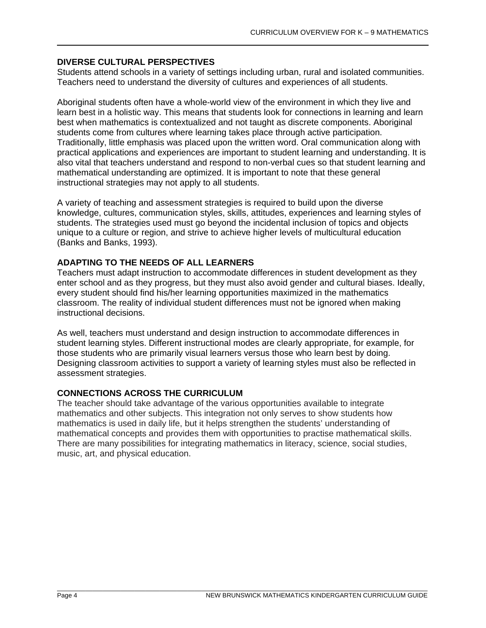# **DIVERSE CULTURAL PERSPECTIVES**

Students attend schools in a variety of settings including urban, rural and isolated communities. Teachers need to understand the diversity of cultures and experiences of all students.

Aboriginal students often have a whole-world view of the environment in which they live and learn best in a holistic way. This means that students look for connections in learning and learn best when mathematics is contextualized and not taught as discrete components. Aboriginal students come from cultures where learning takes place through active participation. Traditionally, little emphasis was placed upon the written word. Oral communication along with practical applications and experiences are important to student learning and understanding. It is also vital that teachers understand and respond to non-verbal cues so that student learning and mathematical understanding are optimized. It is important to note that these general instructional strategies may not apply to all students.

A variety of teaching and assessment strategies is required to build upon the diverse knowledge, cultures, communication styles, skills, attitudes, experiences and learning styles of students. The strategies used must go beyond the incidental inclusion of topics and objects unique to a culture or region, and strive to achieve higher levels of multicultural education (Banks and Banks, 1993).

# **ADAPTING TO THE NEEDS OF ALL LEARNERS**

Teachers must adapt instruction to accommodate differences in student development as they enter school and as they progress, but they must also avoid gender and cultural biases. Ideally, every student should find his/her learning opportunities maximized in the mathematics classroom. The reality of individual student differences must not be ignored when making instructional decisions.

As well, teachers must understand and design instruction to accommodate differences in student learning styles. Different instructional modes are clearly appropriate, for example, for those students who are primarily visual learners versus those who learn best by doing. Designing classroom activities to support a variety of learning styles must also be reflected in assessment strategies.

# **CONNECTIONS ACROSS THE CURRICULUM**

The teacher should take advantage of the various opportunities available to integrate mathematics and other subjects. This integration not only serves to show students how mathematics is used in daily life, but it helps strengthen the students' understanding of mathematical concepts and provides them with opportunities to practise mathematical skills. There are many possibilities for integrating mathematics in literacy, science, social studies, music, art, and physical education.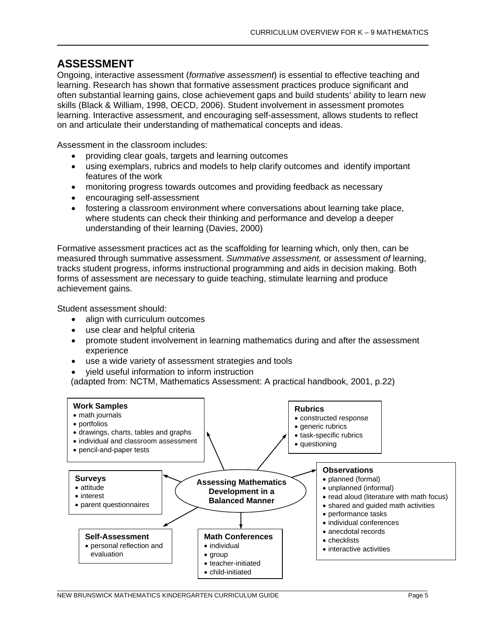# **ASSESSMENT**

Ongoing, interactive assessment (*formative assessment*) is essential to effective teaching and learning. Research has shown that formative assessment practices produce significant and often substantial learning gains, close achievement gaps and build students' ability to learn new skills (Black & William, 1998, OECD, 2006). Student involvement in assessment promotes learning. Interactive assessment, and encouraging self-assessment, allows students to reflect on and articulate their understanding of mathematical concepts and ideas.

Assessment in the classroom includes:

- providing clear goals, targets and learning outcomes
- using exemplars, rubrics and models to help clarify outcomes and identify important features of the work
- monitoring progress towards outcomes and providing feedback as necessary
- encouraging self-assessment
- fostering a classroom environment where conversations about learning take place, where students can check their thinking and performance and develop a deeper understanding of their learning (Davies, 2000)

Formative assessment practices act as the scaffolding for learning which, only then, can be measured through summative assessment. *Summative assessment,* or assessment *of* learning, tracks student progress, informs instructional programming and aids in decision making. Both forms of assessment are necessary to guide teaching, stimulate learning and produce achievement gains.

Student assessment should:

- align with curriculum outcomes
- use clear and helpful criteria
- promote student involvement in learning mathematics during and after the assessment experience
- use a wide variety of assessment strategies and tools
- yield useful information to inform instruction

(adapted from: NCTM, Mathematics Assessment: A practical handbook, 2001, p.22)

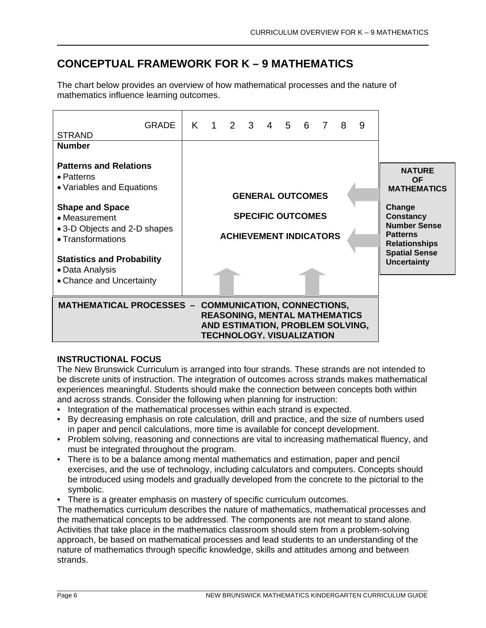# **CONCEPTUAL FRAMEWORK FOR K – 9 MATHEMATICS**

The chart below provides an overview of how mathematical processes and the nature of mathematics influence learning outcomes.



# **INSTRUCTIONAL FOCUS**

The New Brunswick Curriculum is arranged into four strands. These strands are not intended to be discrete units of instruction. The integration of outcomes across strands makes mathematical experiences meaningful. Students should make the connection between concepts both within and across strands. Consider the following when planning for instruction:

- Integration of the mathematical processes within each strand is expected.
- By decreasing emphasis on rote calculation, drill and practice, and the size of numbers used in paper and pencil calculations, more time is available for concept development.
- Problem solving, reasoning and connections are vital to increasing mathematical fluency, and must be integrated throughout the program.
- There is to be a balance among mental mathematics and estimation, paper and pencil exercises, and the use of technology, including calculators and computers. Concepts should be introduced using models and gradually developed from the concrete to the pictorial to the symbolic.
- There is a greater emphasis on mastery of specific curriculum outcomes.

The mathematics curriculum describes the nature of mathematics, mathematical processes and the mathematical concepts to be addressed. The components are not meant to stand alone. Activities that take place in the mathematics classroom should stem from a problem-solving approach, be based on mathematical processes and lead students to an understanding of the nature of mathematics through specific knowledge, skills and attitudes among and between strands.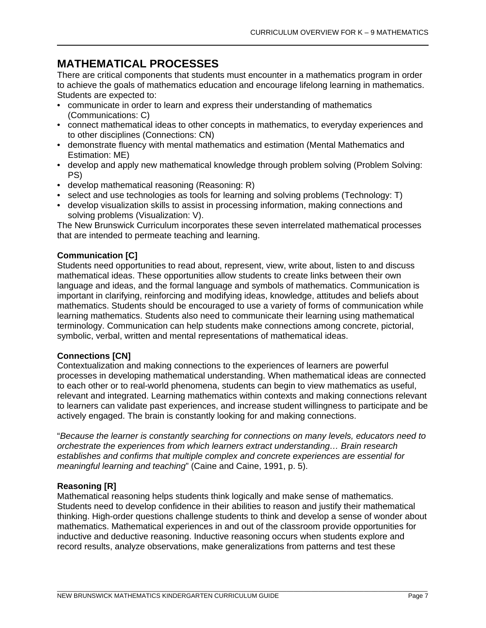# **MATHEMATICAL PROCESSES**

There are critical components that students must encounter in a mathematics program in order to achieve the goals of mathematics education and encourage lifelong learning in mathematics. Students are expected to:

- communicate in order to learn and express their understanding of mathematics (Communications: C)
- connect mathematical ideas to other concepts in mathematics, to everyday experiences and to other disciplines (Connections: CN)
- demonstrate fluency with mental mathematics and estimation (Mental Mathematics and Estimation: ME)
- develop and apply new mathematical knowledge through problem solving (Problem Solving: PS)
- develop mathematical reasoning (Reasoning: R)
- select and use technologies as tools for learning and solving problems (Technology: T)
- develop visualization skills to assist in processing information, making connections and solving problems (Visualization: V).

The New Brunswick Curriculum incorporates these seven interrelated mathematical processes that are intended to permeate teaching and learning.

# **Communication [C]**

Students need opportunities to read about, represent, view, write about, listen to and discuss mathematical ideas. These opportunities allow students to create links between their own language and ideas, and the formal language and symbols of mathematics. Communication is important in clarifying, reinforcing and modifying ideas, knowledge, attitudes and beliefs about mathematics. Students should be encouraged to use a variety of forms of communication while learning mathematics. Students also need to communicate their learning using mathematical terminology. Communication can help students make connections among concrete, pictorial, symbolic, verbal, written and mental representations of mathematical ideas.

# **Connections [CN]**

Contextualization and making connections to the experiences of learners are powerful processes in developing mathematical understanding. When mathematical ideas are connected to each other or to real-world phenomena, students can begin to view mathematics as useful, relevant and integrated. Learning mathematics within contexts and making connections relevant to learners can validate past experiences, and increase student willingness to participate and be actively engaged. The brain is constantly looking for and making connections.

"*Because the learner is constantly searching for connections on many levels, educators need to orchestrate the experiences from which learners extract understanding… Brain research establishes and confirms that multiple complex and concrete experiences are essential for meaningful learning and teaching*" (Caine and Caine, 1991, p. 5).

# **Reasoning [R]**

Mathematical reasoning helps students think logically and make sense of mathematics. Students need to develop confidence in their abilities to reason and justify their mathematical thinking. High-order questions challenge students to think and develop a sense of wonder about mathematics. Mathematical experiences in and out of the classroom provide opportunities for inductive and deductive reasoning. Inductive reasoning occurs when students explore and record results, analyze observations, make generalizations from patterns and test these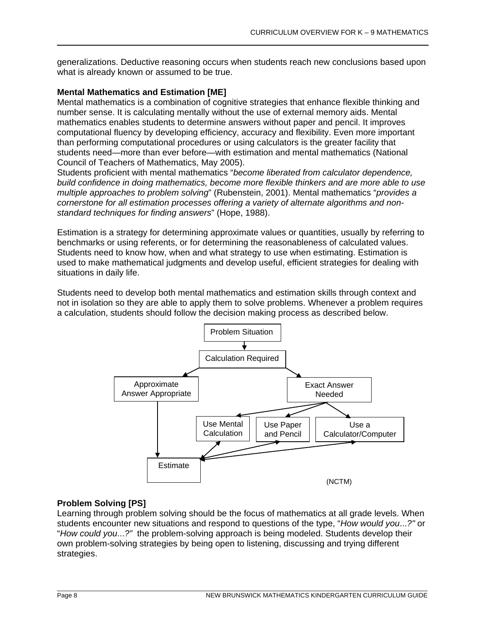generalizations. Deductive reasoning occurs when students reach new conclusions based upon what is already known or assumed to be true.

# **Mental Mathematics and Estimation [ME]**

Mental mathematics is a combination of cognitive strategies that enhance flexible thinking and number sense. It is calculating mentally without the use of external memory aids. Mental mathematics enables students to determine answers without paper and pencil. It improves computational fluency by developing efficiency, accuracy and flexibility. Even more important than performing computational procedures or using calculators is the greater facility that students need—more than ever before—with estimation and mental mathematics (National Council of Teachers of Mathematics, May 2005).

Students proficient with mental mathematics "*become liberated from calculator dependence, build confidence in doing mathematics, become more flexible thinkers and are more able to use multiple approaches to problem solving*" (Rubenstein, 2001). Mental mathematics "*provides a cornerstone for all estimation processes offering a variety of alternate algorithms and nonstandard techniques for finding answers*" (Hope, 1988).

Estimation is a strategy for determining approximate values or quantities, usually by referring to benchmarks or using referents, or for determining the reasonableness of calculated values. Students need to know how, when and what strategy to use when estimating. Estimation is used to make mathematical judgments and develop useful, efficient strategies for dealing with situations in daily life.

Students need to develop both mental mathematics and estimation skills through context and not in isolation so they are able to apply them to solve problems. Whenever a problem requires a calculation, students should follow the decision making process as described below.



# **Problem Solving [PS]**

Learning through problem solving should be the focus of mathematics at all grade levels. When students encounter new situations and respond to questions of the type, "*How would you*...*?"* or "*How could you*...*?"* the problem-solving approach is being modeled. Students develop their own problem-solving strategies by being open to listening, discussing and trying different strategies.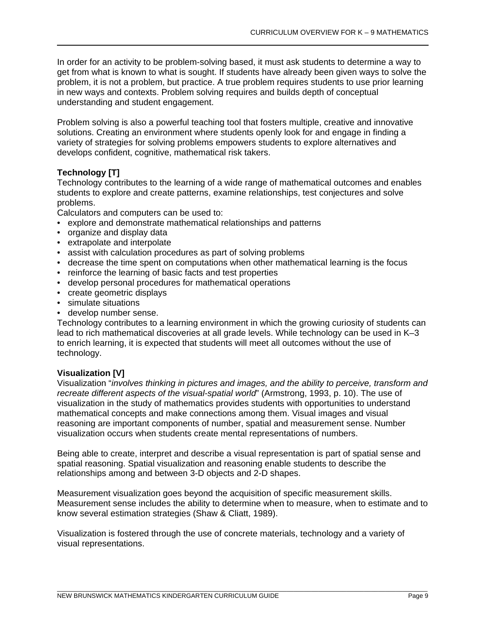In order for an activity to be problem-solving based, it must ask students to determine a way to get from what is known to what is sought. If students have already been given ways to solve the problem, it is not a problem, but practice. A true problem requires students to use prior learning in new ways and contexts. Problem solving requires and builds depth of conceptual understanding and student engagement.

Problem solving is also a powerful teaching tool that fosters multiple, creative and innovative solutions. Creating an environment where students openly look for and engage in finding a variety of strategies for solving problems empowers students to explore alternatives and develops confident, cognitive, mathematical risk takers.

# **Technology [T]**

Technology contributes to the learning of a wide range of mathematical outcomes and enables students to explore and create patterns, examine relationships, test conjectures and solve problems.

Calculators and computers can be used to:

- explore and demonstrate mathematical relationships and patterns
- organize and display data
- extrapolate and interpolate
- assist with calculation procedures as part of solving problems
- decrease the time spent on computations when other mathematical learning is the focus
- reinforce the learning of basic facts and test properties
- develop personal procedures for mathematical operations
- create geometric displays
- simulate situations
- develop number sense.

Technology contributes to a learning environment in which the growing curiosity of students can lead to rich mathematical discoveries at all grade levels. While technology can be used in K–3 to enrich learning, it is expected that students will meet all outcomes without the use of technology.

# **Visualization [V]**

Visualization "*involves thinking in pictures and images, and the ability to perceive, transform and recreate different aspects of the visual-spatial world*" (Armstrong, 1993, p. 10). The use of visualization in the study of mathematics provides students with opportunities to understand mathematical concepts and make connections among them. Visual images and visual reasoning are important components of number, spatial and measurement sense. Number visualization occurs when students create mental representations of numbers.

Being able to create, interpret and describe a visual representation is part of spatial sense and spatial reasoning. Spatial visualization and reasoning enable students to describe the relationships among and between 3-D objects and 2-D shapes.

Measurement visualization goes beyond the acquisition of specific measurement skills. Measurement sense includes the ability to determine when to measure, when to estimate and to know several estimation strategies (Shaw & Cliatt, 1989).

Visualization is fostered through the use of concrete materials, technology and a variety of visual representations.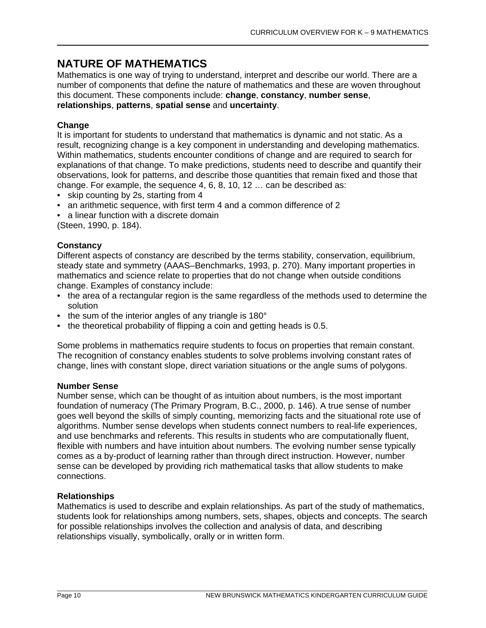# **NATURE OF MATHEMATICS**

Mathematics is one way of trying to understand, interpret and describe our world. There are a number of components that define the nature of mathematics and these are woven throughout this document. These components include: **change**, **constancy**, **number sense**, **relationships**, **patterns**, **spatial sense** and **uncertainty**.

# **Change**

It is important for students to understand that mathematics is dynamic and not static. As a result, recognizing change is a key component in understanding and developing mathematics. Within mathematics, students encounter conditions of change and are required to search for explanations of that change. To make predictions, students need to describe and quantify their observations, look for patterns, and describe those quantities that remain fixed and those that change. For example, the sequence 4, 6, 8, 10, 12 … can be described as:

- skip counting by 2s, starting from 4
- an arithmetic sequence, with first term 4 and a common difference of 2
- a linear function with a discrete domain

(Steen, 1990, p. 184).

# **Constancy**

Different aspects of constancy are described by the terms stability, conservation, equilibrium, steady state and symmetry (AAAS–Benchmarks, 1993, p. 270). Many important properties in mathematics and science relate to properties that do not change when outside conditions change. Examples of constancy include:

- the area of a rectangular region is the same regardless of the methods used to determine the solution
- the sum of the interior angles of any triangle is 180°
- the theoretical probability of flipping a coin and getting heads is 0.5.

Some problems in mathematics require students to focus on properties that remain constant. The recognition of constancy enables students to solve problems involving constant rates of change, lines with constant slope, direct variation situations or the angle sums of polygons.

## **Number Sense**

Number sense, which can be thought of as intuition about numbers, is the most important foundation of numeracy (The Primary Program, B.C., 2000, p. 146). A true sense of number goes well beyond the skills of simply counting, memorizing facts and the situational rote use of algorithms. Number sense develops when students connect numbers to real-life experiences, and use benchmarks and referents. This results in students who are computationally fluent, flexible with numbers and have intuition about numbers. The evolving number sense typically comes as a by-product of learning rather than through direct instruction. However, number sense can be developed by providing rich mathematical tasks that allow students to make connections.

# **Relationships**

Mathematics is used to describe and explain relationships. As part of the study of mathematics, students look for relationships among numbers, sets, shapes, objects and concepts. The search for possible relationships involves the collection and analysis of data, and describing relationships visually, symbolically, orally or in written form.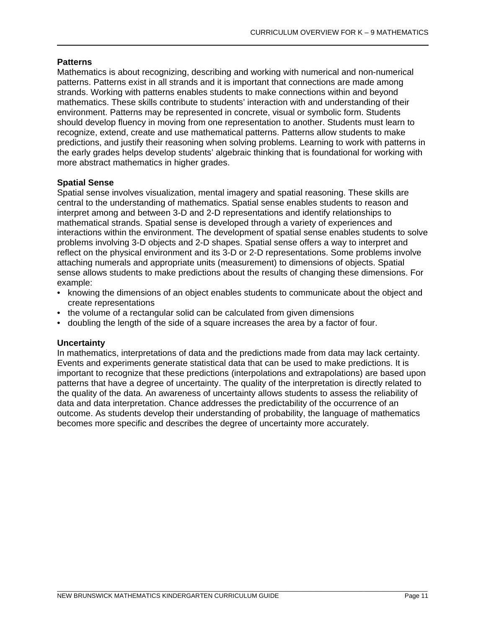# **Patterns**

Mathematics is about recognizing, describing and working with numerical and non-numerical patterns. Patterns exist in all strands and it is important that connections are made among strands. Working with patterns enables students to make connections within and beyond mathematics. These skills contribute to students' interaction with and understanding of their environment. Patterns may be represented in concrete, visual or symbolic form. Students should develop fluency in moving from one representation to another. Students must learn to recognize, extend, create and use mathematical patterns. Patterns allow students to make predictions, and justify their reasoning when solving problems. Learning to work with patterns in the early grades helps develop students' algebraic thinking that is foundational for working with more abstract mathematics in higher grades.

# **Spatial Sense**

Spatial sense involves visualization, mental imagery and spatial reasoning. These skills are central to the understanding of mathematics. Spatial sense enables students to reason and interpret among and between 3-D and 2-D representations and identify relationships to mathematical strands. Spatial sense is developed through a variety of experiences and interactions within the environment. The development of spatial sense enables students to solve problems involving 3-D objects and 2-D shapes. Spatial sense offers a way to interpret and reflect on the physical environment and its 3-D or 2-D representations. Some problems involve attaching numerals and appropriate units (measurement) to dimensions of objects. Spatial sense allows students to make predictions about the results of changing these dimensions. For example:

- knowing the dimensions of an object enables students to communicate about the object and create representations
- the volume of a rectangular solid can be calculated from given dimensions
- doubling the length of the side of a square increases the area by a factor of four.

# **Uncertainty**

In mathematics, interpretations of data and the predictions made from data may lack certainty. Events and experiments generate statistical data that can be used to make predictions. It is important to recognize that these predictions (interpolations and extrapolations) are based upon patterns that have a degree of uncertainty. The quality of the interpretation is directly related to the quality of the data. An awareness of uncertainty allows students to assess the reliability of data and data interpretation. Chance addresses the predictability of the occurrence of an outcome. As students develop their understanding of probability, the language of mathematics becomes more specific and describes the degree of uncertainty more accurately.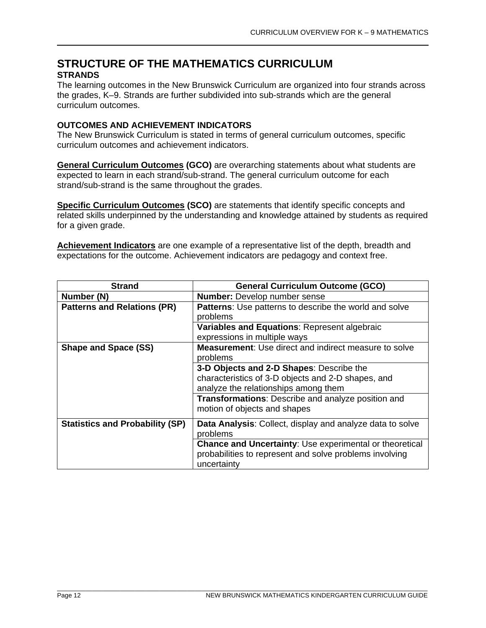# **STRUCTURE OF THE MATHEMATICS CURRICULUM STRANDS**

The learning outcomes in the New Brunswick Curriculum are organized into four strands across the grades, K–9. Strands are further subdivided into sub-strands which are the general curriculum outcomes.

# **OUTCOMES AND ACHIEVEMENT INDICATORS**

The New Brunswick Curriculum is stated in terms of general curriculum outcomes, specific curriculum outcomes and achievement indicators.

**General Curriculum Outcomes (GCO)** are overarching statements about what students are expected to learn in each strand/sub-strand. The general curriculum outcome for each strand/sub-strand is the same throughout the grades.

**Specific Curriculum Outcomes (SCO)** are statements that identify specific concepts and related skills underpinned by the understanding and knowledge attained by students as required for a given grade.

**Achievement Indicators** are one example of a representative list of the depth, breadth and expectations for the outcome. Achievement indicators are pedagogy and context free.

| <b>Strand</b>                          | <b>General Curriculum Outcome (GCO)</b>                                                                                                  |  |  |
|----------------------------------------|------------------------------------------------------------------------------------------------------------------------------------------|--|--|
| Number (N)                             | <b>Number:</b> Develop number sense                                                                                                      |  |  |
| <b>Patterns and Relations (PR)</b>     | <b>Patterns:</b> Use patterns to describe the world and solve                                                                            |  |  |
|                                        | problems                                                                                                                                 |  |  |
|                                        | Variables and Equations: Represent algebraic                                                                                             |  |  |
|                                        | expressions in multiple ways                                                                                                             |  |  |
| <b>Shape and Space (SS)</b>            | <b>Measurement:</b> Use direct and indirect measure to solve                                                                             |  |  |
|                                        | problems                                                                                                                                 |  |  |
|                                        | 3-D Objects and 2-D Shapes: Describe the                                                                                                 |  |  |
|                                        | characteristics of 3-D objects and 2-D shapes, and                                                                                       |  |  |
|                                        | analyze the relationships among them                                                                                                     |  |  |
|                                        | <b>Transformations:</b> Describe and analyze position and                                                                                |  |  |
|                                        | motion of objects and shapes                                                                                                             |  |  |
| <b>Statistics and Probability (SP)</b> | <b>Data Analysis:</b> Collect, display and analyze data to solve<br>problems                                                             |  |  |
|                                        | <b>Chance and Uncertainty: Use experimental or theoretical</b><br>probabilities to represent and solve problems involving<br>uncertainty |  |  |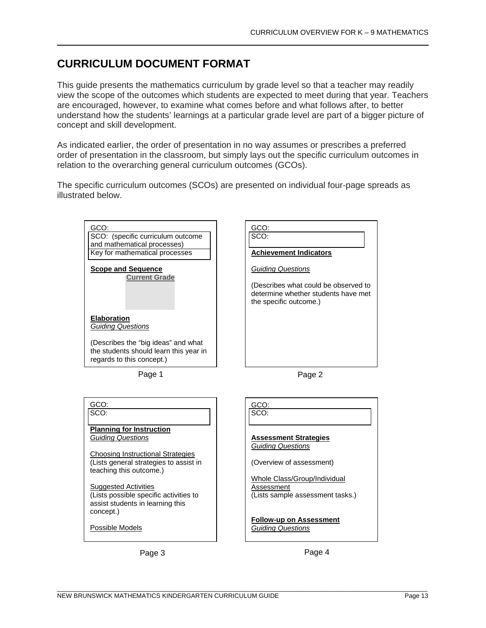# **CURRICULUM DOCUMENT FORMAT**

This guide presents the mathematics curriculum by grade level so that a teacher may readily view the scope of the outcomes which students are expected to meet during that year. Teachers are encouraged, however, to examine what comes before and what follows after, to better understand how the students' learnings at a particular grade level are part of a bigger picture of concept and skill development.

As indicated earlier, the order of presentation in no way assumes or prescribes a preferred order of presentation in the classroom, but simply lays out the specific curriculum outcomes in relation to the overarching general curriculum outcomes (GCOs).

The specific curriculum outcomes (SCOs) are presented on individual four-page spreads as illustrated below.

> GCO: SCO:

**Achievement Indicators**

(Describes what could be observed to determine whether students have met

*Guiding Questions*

the specific outcome.)



Page 1

Possible Models

| <b>EIADUI AUUII</b><br><b>Guiding Questions</b>                                                            |                                  |
|------------------------------------------------------------------------------------------------------------|----------------------------------|
| (Describes the "big ideas" and what<br>the students should learn this year in<br>regards to this concept.) |                                  |
| Page 1                                                                                                     | Page 2                           |
|                                                                                                            |                                  |
| GCO:                                                                                                       | GCO:                             |
| SCO:                                                                                                       | SCO:                             |
| <b>Planning for Instruction</b>                                                                            |                                  |
| <b>Guiding Questions</b>                                                                                   | <b>Assessment Strategies</b>     |
| <b>Choosing Instructional Strategies</b>                                                                   | <b>Guiding Questions</b>         |
| (Lists general strategies to assist in                                                                     | (Overview of assessment)         |
| teaching this outcome.)                                                                                    |                                  |
|                                                                                                            | Whole Class/Group/Individual     |
| <b>Suggested Activities</b>                                                                                | Assessment                       |
| (Lists possible specific activities to                                                                     | (Lists sample assessment tasks.) |
| assist students in learning this                                                                           |                                  |
| concept.)                                                                                                  |                                  |
|                                                                                                            | <b>Follow-up on Assessment</b>   |

*Guiding Questions*

Page 3 Page 4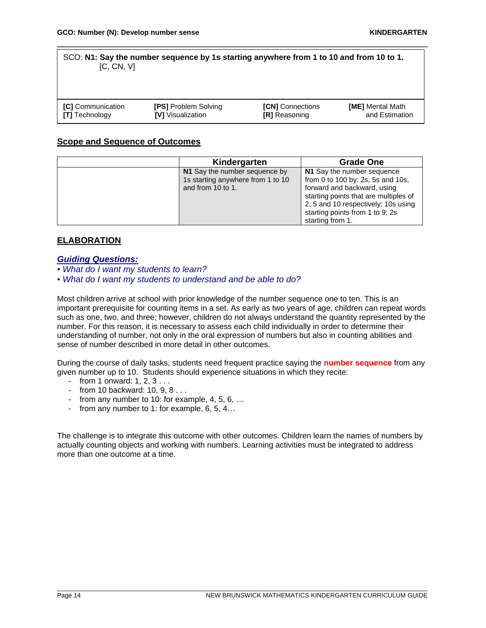#### SCO: **N1: Say the number sequence by 1s starting anywhere from 1 to 10 and from 10 to 1.**  $[C, CN, V]$

\_\_\_\_\_\_\_\_\_\_\_\_\_\_\_\_\_\_\_\_\_\_\_\_\_\_\_\_\_\_\_\_\_\_\_\_\_\_\_\_\_\_\_\_\_\_\_\_\_\_\_\_\_\_\_\_\_\_\_\_\_\_\_\_\_\_\_\_\_\_

| <b>ICI</b> Communication | <b>[PS] Problem Solving</b> | <b>[CN]</b> Connections | <b>[ME]</b> Mental Math |
|--------------------------|-----------------------------|-------------------------|-------------------------|
| <b>[T]</b> Technology    | <b>IVI</b> Visualization    | <b>[R]</b> Reasoning    | and Estimation          |

# **Scope and Sequence of Outcomes**

| Kindergarten                                                                            | <b>Grade One</b>                                                                                                                                                                                                                      |
|-----------------------------------------------------------------------------------------|---------------------------------------------------------------------------------------------------------------------------------------------------------------------------------------------------------------------------------------|
| N1 Say the number sequence by<br>1s starting anywhere from 1 to 10<br>and from 10 to 1. | N1 Say the number sequence<br>from 0 to 100 by: 2s, 5s and 10s,<br>forward and backward, using<br>starting points that are multiples of<br>2, 5 and 10 respectively; 10s using<br>starting points from 1 to 9; 2s<br>starting from 1. |

# **ELABORATION**

# *Guiding Questions:*

- *What do I want my students to learn?*
- *What do I want my students to understand and be able to do?*

Most children arrive at school with prior knowledge of the number sequence one to ten. This is an important prerequisite for counting items in a set. As early as two years of age, children can repeat words such as one, two, and three; however, children do not always understand the quantity represented by the number. For this reason, it is necessary to assess each child individually in order to determine their understanding of number, not only in the oral expression of numbers but also in counting abilities and sense of number described in more detail in other outcomes.

During the course of daily tasks, students need frequent practice saying the **number sequence** from any given number up to 10. Students should experience situations in which they recite:

- $-$  from 1 onward: 1, 2, 3,  $\ldots$
- from 10 backward: 10, 9, 8 . . .
- from any number to 10: for example, 4, 5, 6, …
- from any number to 1: for example, 6, 5, 4…

The challenge is to integrate this outcome with other outcomes. Children learn the names of numbers by actually counting objects and working with numbers. Learning activities must be integrated to address more than one outcome at a time.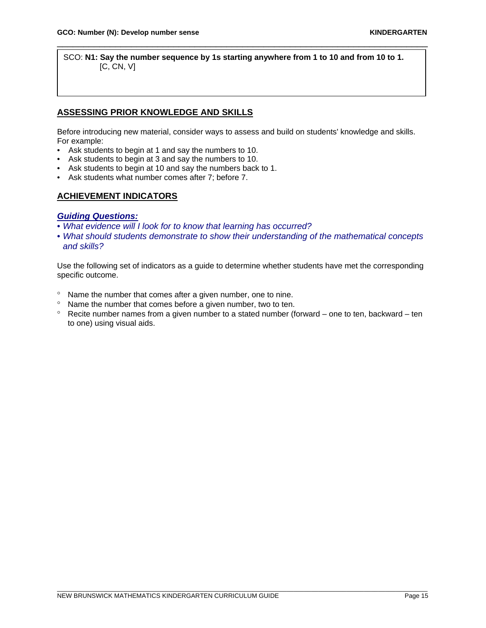SCO: **N1: Say the number sequence by 1s starting anywhere from 1 to 10 and from 10 to 1.** [C, CN, V]

\_\_\_\_\_\_\_\_\_\_\_\_\_\_\_\_\_\_\_\_\_\_\_\_\_\_\_\_\_\_\_\_\_\_\_\_\_\_\_\_\_\_\_\_\_\_\_\_\_\_\_\_\_\_\_\_\_\_\_\_\_\_\_\_\_\_\_\_\_\_

# **ASSESSING PRIOR KNOWLEDGE AND SKILLS**

Before introducing new material, consider ways to assess and build on students' knowledge and skills. For example:

- Ask students to begin at 1 and say the numbers to 10.
- Ask students to begin at 3 and say the numbers to 10.
- Ask students to begin at 10 and say the numbers back to 1.
- Ask students what number comes after 7; before 7.

# **ACHIEVEMENT INDICATORS**

#### *Guiding Questions:*

- *What evidence will I look for to know that learning has occurred?*
- *What should students demonstrate to show their understanding of the mathematical concepts and skills?*

Use the following set of indicators as a guide to determine whether students have met the corresponding specific outcome.

- ° Name the number that comes after a given number, one to nine.
- ° Name the number that comes before a given number, two to ten.
- ° Recite number names from a given number to a stated number (forward one to ten, backward ten to one) using visual aids.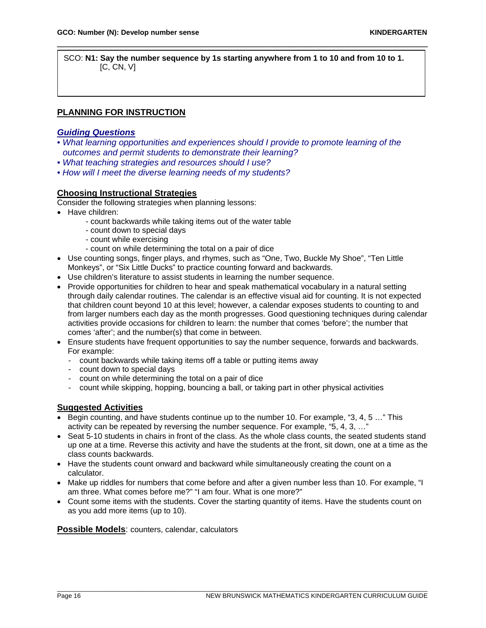SCO: **N1: Say the number sequence by 1s starting anywhere from 1 to 10 and from 10 to 1.** [C, CN, V]

\_\_\_\_\_\_\_\_\_\_\_\_\_\_\_\_\_\_\_\_\_\_\_\_\_\_\_\_\_\_\_\_\_\_\_\_\_\_\_\_\_\_\_\_\_\_\_\_\_\_\_\_\_\_\_\_\_\_\_\_\_\_\_\_\_\_\_\_\_\_

# **PLANNING FOR INSTRUCTION**

# *Guiding Questions*

- *What learning opportunities and experiences should I provide to promote learning of the outcomes and permit students to demonstrate their learning?*
- *What teaching strategies and resources should I use?*
- *How will I meet the diverse learning needs of my students?*

## **Choosing Instructional Strategies**

Consider the following strategies when planning lessons:

- Have children:
	- count backwards while taking items out of the water table
	- count down to special days
	- count while exercising
	- count on while determining the total on a pair of dice
- Use counting songs, finger plays, and rhymes, such as "One, Two, Buckle My Shoe", "Ten Little Monkeys", or "Six Little Ducks" to practice counting forward and backwards.
- Use children's literature to assist students in learning the number sequence.
- Provide opportunities for children to hear and speak mathematical vocabulary in a natural setting through daily calendar routines. The calendar is an effective visual aid for counting. It is not expected that children count beyond 10 at this level; however, a calendar exposes students to counting to and from larger numbers each day as the month progresses. Good questioning techniques during calendar activities provide occasions for children to learn: the number that comes 'before'; the number that comes 'after'; and the number(s) that come in between.
- Ensure students have frequent opportunities to say the number sequence, forwards and backwards. For example:
	- count backwards while taking items off a table or putting items away
	- count down to special days
	- count on while determining the total on a pair of dice
	- count while skipping, hopping, bouncing a ball, or taking part in other physical activities

## **Suggested Activities**

- Begin counting, and have students continue up to the number 10. For example, "3, 4, 5 …" This activity can be repeated by reversing the number sequence. For example, "5, 4, 3, …"
- Seat 5-10 students in chairs in front of the class. As the whole class counts, the seated students stand up one at a time. Reverse this activity and have the students at the front, sit down, one at a time as the class counts backwards.
- Have the students count onward and backward while simultaneously creating the count on a calculator.
- Make up riddles for numbers that come before and after a given number less than 10. For example, "I am three. What comes before me?" "I am four. What is one more?"
- Count some items with the students. Cover the starting quantity of items. Have the students count on as you add more items (up to 10).

**Possible Models**: counters, calendar, calculators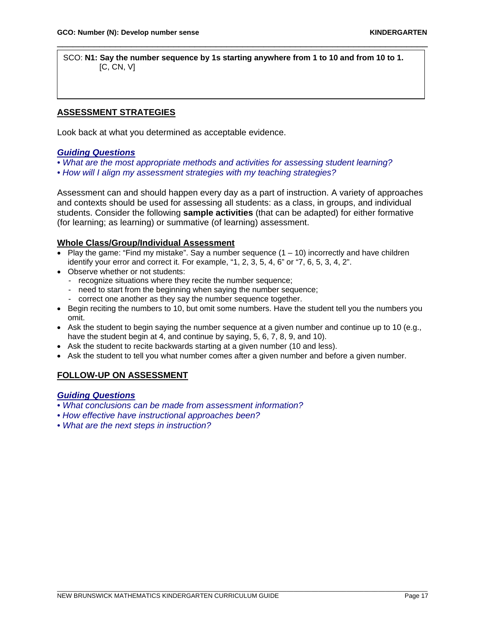SCO: **N1: Say the number sequence by 1s starting anywhere from 1 to 10 and from 10 to 1.** [C, CN, V]

\_\_\_\_\_\_\_\_\_\_\_\_\_\_\_\_\_\_\_\_\_\_\_\_\_\_\_\_\_\_\_\_\_\_\_\_\_\_\_\_\_\_\_\_\_\_\_\_\_\_\_\_\_\_\_\_\_\_\_\_\_\_\_\_\_\_\_\_\_\_

# **ASSESSMENT STRATEGIES**

Look back at what you determined as acceptable evidence.

## *Guiding Questions*

- *What are the most appropriate methods and activities for assessing student learning?*
- *How will I align my assessment strategies with my teaching strategies?*

Assessment can and should happen every day as a part of instruction. A variety of approaches and contexts should be used for assessing all students: as a class, in groups, and individual students. Consider the following **sample activities** (that can be adapted) for either formative (for learning; as learning) or summative (of learning) assessment.

## **Whole Class/Group/Individual Assessment**

- Play the game: "Find my mistake". Say a number sequence  $(1 10)$  incorrectly and have children identify your error and correct it. For example, "1, 2, 3, 5, 4, 6" or "7, 6, 5, 3, 4, 2".
- Observe whether or not students:
	- recognize situations where they recite the number sequence;
	- need to start from the beginning when saying the number sequence;
	- correct one another as they say the number sequence together.
- Begin reciting the numbers to 10, but omit some numbers. Have the student tell you the numbers you omit.
- Ask the student to begin saying the number sequence at a given number and continue up to 10 (e.g., have the student begin at 4, and continue by saying, 5, 6, 7, 8, 9, and 10).
- Ask the student to recite backwards starting at a given number (10 and less).
- Ask the student to tell you what number comes after a given number and before a given number.

# **FOLLOW-UP ON ASSESSMENT**

## *Guiding Questions*

- *What conclusions can be made from assessment information?*
- *How effective have instructional approaches been?*
- *What are the next steps in instruction?*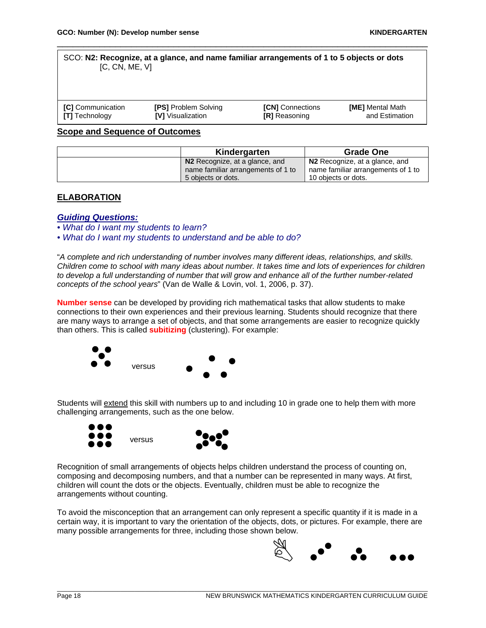#### SCO: **N2: Recognize, at a glance, and name familiar arrangements of 1 to 5 objects or dots** [C, CN, ME, V]

\_\_\_\_\_\_\_\_\_\_\_\_\_\_\_\_\_\_\_\_\_\_\_\_\_\_\_\_\_\_\_\_\_\_\_\_\_\_\_\_\_\_\_\_\_\_\_\_\_\_\_\_\_\_\_\_\_\_\_\_\_\_\_\_\_\_\_\_\_\_

| <b>ICI</b> Communication | <b>[PS] Problem Solving</b> | <b>[CN]</b> Connections | <b>[ME]</b> Mental Math |
|--------------------------|-----------------------------|-------------------------|-------------------------|
| <b>[T]</b> Technology    | <b>IVI</b> Visualization    | <b>[R]</b> Reasoning    | and Estimation          |

#### **Scope and Sequence of Outcomes**

| Kindergarten                                                                               | <b>Grade One</b>                                                                                        |
|--------------------------------------------------------------------------------------------|---------------------------------------------------------------------------------------------------------|
| N2 Recognize, at a glance, and<br>name familiar arrangements of 1 to<br>5 objects or dots. | N <sub>2</sub> Recognize, at a glance, and<br>name familiar arrangements of 1 to<br>10 objects or dots. |

# **ELABORATION**

## *Guiding Questions:*

*• What do I want my students to learn?* 

*• What do I want my students to understand and be able to do?*

"*A complete and rich understanding of number involves many different ideas, relationships, and skills. Children come to school with many ideas about number. It takes time and lots of experiences for children to develop a full understanding of number that will grow and enhance all of the further number-related concepts of the school years*" (Van de Walle & Lovin, vol. 1, 2006, p. 37).

**Number sense** can be developed by providing rich mathematical tasks that allow students to make connections to their own experiences and their previous learning. Students should recognize that there are many ways to arrange a set of objects, and that some arrangements are easier to recognize quickly than others. This is called **subitizing** (clustering). For example:



Students will extend this skill with numbers up to and including 10 in grade one to help them with more challenging arrangements, such as the one below.





Recognition of small arrangements of objects helps children understand the process of counting on, composing and decomposing numbers, and that a number can be represented in many ways. At first, children will count the dots or the objects. Eventually, children must be able to recognize the arrangements without counting.

To avoid the misconception that an arrangement can only represent a specific quantity if it is made in a certain way, it is important to vary the orientation of the objects, dots, or pictures. For example, there are many possible arrangements for three, including those shown below.

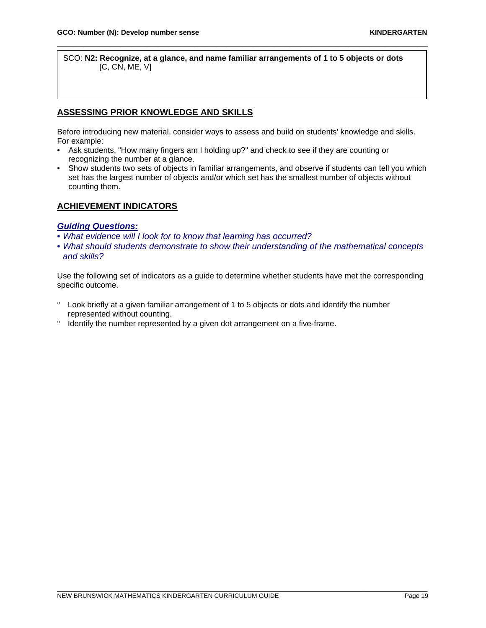SCO: **N2: Recognize, at a glance, and name familiar arrangements of 1 to 5 objects or dots** [C, CN, ME, V]

\_\_\_\_\_\_\_\_\_\_\_\_\_\_\_\_\_\_\_\_\_\_\_\_\_\_\_\_\_\_\_\_\_\_\_\_\_\_\_\_\_\_\_\_\_\_\_\_\_\_\_\_\_\_\_\_\_\_\_\_\_\_\_\_\_\_\_\_\_\_

# **ASSESSING PRIOR KNOWLEDGE AND SKILLS**

Before introducing new material, consider ways to assess and build on students' knowledge and skills. For example:

- Ask students, "How many fingers am I holding up?" and check to see if they are counting or recognizing the number at a glance.
- Show students two sets of objects in familiar arrangements, and observe if students can tell you which set has the largest number of objects and/or which set has the smallest number of objects without counting them.

# **ACHIEVEMENT INDICATORS**

## *Guiding Questions:*

- *What evidence will I look for to know that learning has occurred?*
- *What should students demonstrate to show their understanding of the mathematical concepts and skills?*

Use the following set of indicators as a guide to determine whether students have met the corresponding specific outcome.

- ° Look briefly at a given familiar arrangement of 1 to 5 objects or dots and identify the number represented without counting.
- ° Identify the number represented by a given dot arrangement on a five-frame.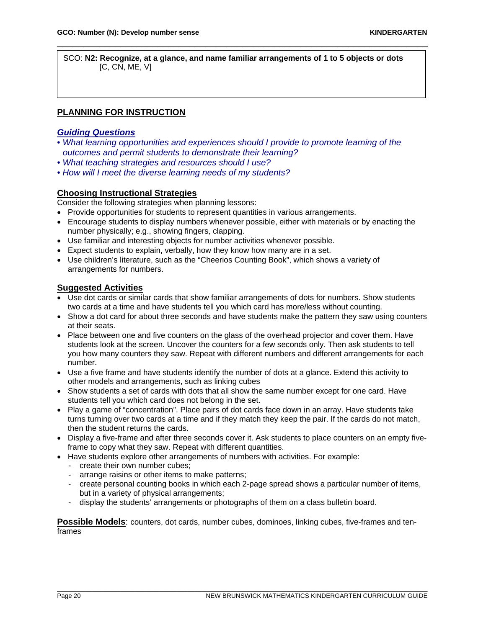SCO: **N2: Recognize, at a glance, and name familiar arrangements of 1 to 5 objects or dots**  $[C, CN, ME, V]$ 

\_\_\_\_\_\_\_\_\_\_\_\_\_\_\_\_\_\_\_\_\_\_\_\_\_\_\_\_\_\_\_\_\_\_\_\_\_\_\_\_\_\_\_\_\_\_\_\_\_\_\_\_\_\_\_\_\_\_\_\_\_\_\_\_\_\_\_\_\_\_

# **PLANNING FOR INSTRUCTION**

# *Guiding Questions*

- *What learning opportunities and experiences should I provide to promote learning of the outcomes and permit students to demonstrate their learning?*
- *What teaching strategies and resources should I use?*
- *How will I meet the diverse learning needs of my students?*

# **Choosing Instructional Strategies**

Consider the following strategies when planning lessons:

- Provide opportunities for students to represent quantities in various arrangements.
- Encourage students to display numbers whenever possible, either with materials or by enacting the number physically; e.g., showing fingers, clapping.
- Use familiar and interesting objects for number activities whenever possible.
- Expect students to explain, verbally, how they know how many are in a set.
- Use children's literature, such as the "Cheerios Counting Book", which shows a variety of arrangements for numbers.

# **Suggested Activities**

- Use dot cards or similar cards that show familiar arrangements of dots for numbers. Show students two cards at a time and have students tell you which card has more/less without counting.
- Show a dot card for about three seconds and have students make the pattern they saw using counters at their seats.
- Place between one and five counters on the glass of the overhead projector and cover them. Have students look at the screen. Uncover the counters for a few seconds only. Then ask students to tell you how many counters they saw. Repeat with different numbers and different arrangements for each number.
- Use a five frame and have students identify the number of dots at a glance. Extend this activity to other models and arrangements, such as linking cubes
- Show students a set of cards with dots that all show the same number except for one card. Have students tell you which card does not belong in the set.
- Play a game of "concentration". Place pairs of dot cards face down in an array. Have students take turns turning over two cards at a time and if they match they keep the pair. If the cards do not match, then the student returns the cards.
- Display a five-frame and after three seconds cover it. Ask students to place counters on an empty fiveframe to copy what they saw. Repeat with different quantities.
- Have students explore other arrangements of numbers with activities. For example:
	- create their own number cubes;
	- arrange raisins or other items to make patterns;
	- create personal counting books in which each 2-page spread shows a particular number of items, but in a variety of physical arrangements;
	- display the students' arrangements or photographs of them on a class bulletin board.

**Possible Models**: counters, dot cards, number cubes, dominoes, linking cubes, five-frames and tenframes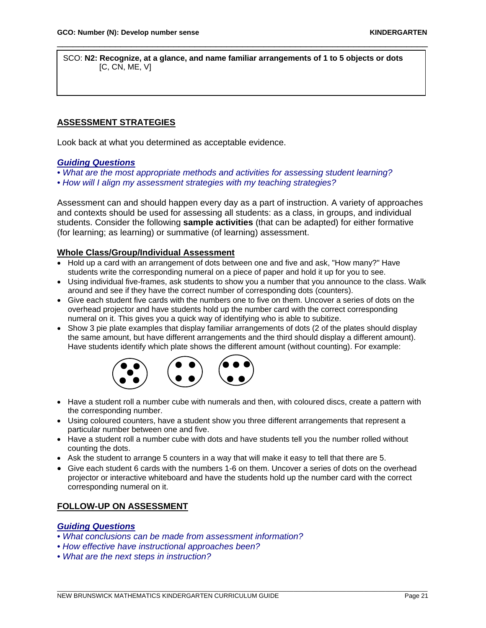SCO: **N2: Recognize, at a glance, and name familiar arrangements of 1 to 5 objects or dots** [C, CN, ME, V]

\_\_\_\_\_\_\_\_\_\_\_\_\_\_\_\_\_\_\_\_\_\_\_\_\_\_\_\_\_\_\_\_\_\_\_\_\_\_\_\_\_\_\_\_\_\_\_\_\_\_\_\_\_\_\_\_\_\_\_\_\_\_\_\_\_\_\_\_\_\_

# **ASSESSMENT STRATEGIES**

Look back at what you determined as acceptable evidence.

# *Guiding Questions*

- *What are the most appropriate methods and activities for assessing student learning?*
- *How will I align my assessment strategies with my teaching strategies?*

Assessment can and should happen every day as a part of instruction. A variety of approaches and contexts should be used for assessing all students: as a class, in groups, and individual students. Consider the following **sample activities** (that can be adapted) for either formative (for learning; as learning) or summative (of learning) assessment.

# **Whole Class/Group/Individual Assessment**

- Hold up a card with an arrangement of dots between one and five and ask, "How many?" Have students write the corresponding numeral on a piece of paper and hold it up for you to see.
- Using individual five-frames, ask students to show you a number that you announce to the class. Walk around and see if they have the correct number of corresponding dots (counters).
- Give each student five cards with the numbers one to five on them. Uncover a series of dots on the overhead projector and have students hold up the number card with the correct corresponding numeral on it. This gives you a quick way of identifying who is able to subitize.
- Show 3 pie plate examples that display familiar arrangements of dots (2 of the plates should display the same amount, but have different arrangements and the third should display a different amount). Have students identify which plate shows the different amount (without counting). For example:



- Have a student roll a number cube with numerals and then, with coloured discs, create a pattern with the corresponding number.
- Using coloured counters, have a student show you three different arrangements that represent a particular number between one and five.
- Have a student roll a number cube with dots and have students tell you the number rolled without counting the dots.
- Ask the student to arrange 5 counters in a way that will make it easy to tell that there are 5.
- Give each student 6 cards with the numbers 1-6 on them. Uncover a series of dots on the overhead projector or interactive whiteboard and have the students hold up the number card with the correct corresponding numeral on it.

# **FOLLOW-UP ON ASSESSMENT**

## *Guiding Questions*

- *What conclusions can be made from assessment information?*
- *How effective have instructional approaches been?*
- *What are the next steps in instruction?*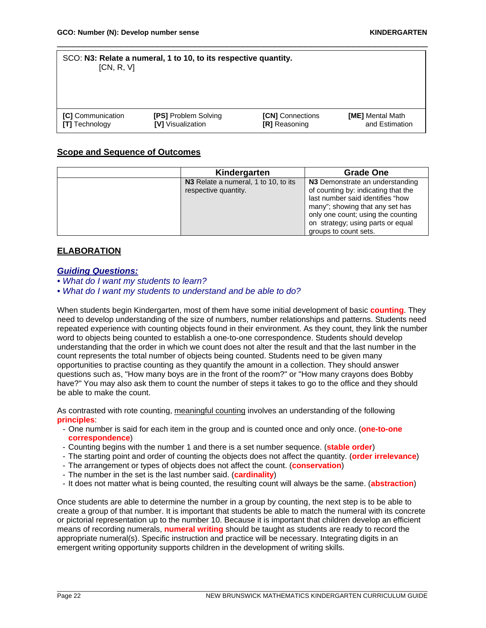| SCO: N3: Relate a numeral, 1 to 10, to its respective quantity.<br>[CN, R, V]                                                                                                                  |  |  |  |  |
|------------------------------------------------------------------------------------------------------------------------------------------------------------------------------------------------|--|--|--|--|
| <b>[C]</b> Communication<br><b>[PS] Problem Solving</b><br><b>[CN]</b> Connections<br>[ME] Mental Math<br><b>IVI</b> Visualization<br>and Estimation<br>[T] Technology<br><b>IRI</b> Reasoning |  |  |  |  |

# **Scope and Sequence of Outcomes**

| Kindergarten                                                 | Grade One                                                                                                                                                                                                                                         |
|--------------------------------------------------------------|---------------------------------------------------------------------------------------------------------------------------------------------------------------------------------------------------------------------------------------------------|
| N3 Relate a numeral, 1 to 10, to its<br>respective quantity. | N3 Demonstrate an understanding<br>of counting by: indicating that the<br>last number said identifies "how<br>many"; showing that any set has<br>only one count; using the counting<br>on strategy; using parts or equal<br>groups to count sets. |

# **ELABORATION**

# *Guiding Questions:*

*• What do I want my students to learn?* 

*• What do I want my students to understand and be able to do?*

When students begin Kindergarten, most of them have some initial development of basic **counting**. They need to develop understanding of the size of numbers, number relationships and patterns. Students need repeated experience with counting objects found in their environment. As they count, they link the number word to objects being counted to establish a one-to-one correspondence. Students should develop understanding that the order in which we count does not alter the result and that the last number in the count represents the total number of objects being counted. Students need to be given many opportunities to practise counting as they quantify the amount in a collection. They should answer questions such as, "How many boys are in the front of the room?" or "How many crayons does Bobby have?" You may also ask them to count the number of steps it takes to go to the office and they should be able to make the count.

As contrasted with rote counting, meaningful counting involves an understanding of the following **principles**:

- One number is said for each item in the group and is counted once and only once. (**one-to-one correspondence**)
- Counting begins with the number 1 and there is a set number sequence. (**stable order**)
- The starting point and order of counting the objects does not affect the quantity. (**order irrelevance**)
- The arrangement or types of objects does not affect the count. (**conservation**)
- The number in the set is the last number said. (**cardinality**)
- It does not matter what is being counted, the resulting count will always be the same. (**abstraction**)

Once students are able to determine the number in a group by counting, the next step is to be able to create a group of that number. It is important that students be able to match the numeral with its concrete or pictorial representation up to the number 10. Because it is important that children develop an efficient means of recording numerals, **numeral writing** should be taught as students are ready to record the appropriate numeral(s). Specific instruction and practice will be necessary. Integrating digits in an emergent writing opportunity supports children in the development of writing skills.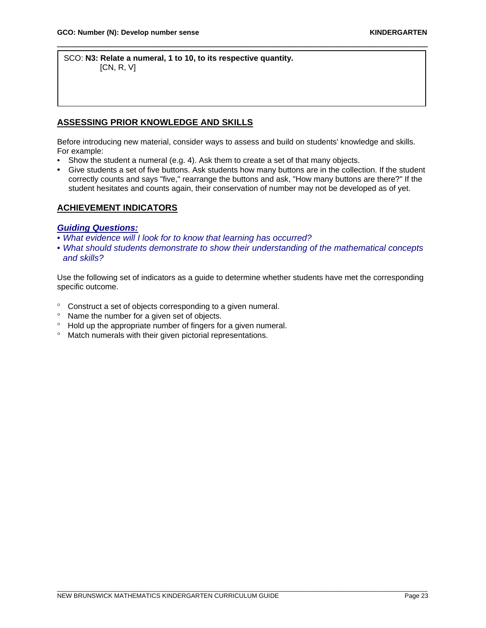SCO: **N3: Relate a numeral, 1 to 10, to its respective quantity.** [CN, R, V]

# **ASSESSING PRIOR KNOWLEDGE AND SKILLS**

Before introducing new material, consider ways to assess and build on students' knowledge and skills. For example:

\_\_\_\_\_\_\_\_\_\_\_\_\_\_\_\_\_\_\_\_\_\_\_\_\_\_\_\_\_\_\_\_\_\_\_\_\_\_\_\_\_\_\_\_\_\_\_\_\_\_\_\_\_\_\_\_\_\_\_\_\_\_\_\_\_\_\_\_\_\_

- Show the student a numeral (e.g. 4). Ask them to create a set of that many objects.
- Give students a set of five buttons. Ask students how many buttons are in the collection. If the student correctly counts and says "five," rearrange the buttons and ask, "How many buttons are there?" If the student hesitates and counts again, their conservation of number may not be developed as of yet.

## **ACHIEVEMENT INDICATORS**

#### *Guiding Questions:*

- *What evidence will I look for to know that learning has occurred?*
- *What should students demonstrate to show their understanding of the mathematical concepts and skills?*

Use the following set of indicators as a guide to determine whether students have met the corresponding specific outcome.

- ° Construct a set of objects corresponding to a given numeral.
- ° Name the number for a given set of objects.
- ° Hold up the appropriate number of fingers for a given numeral.
- ° Match numerals with their given pictorial representations.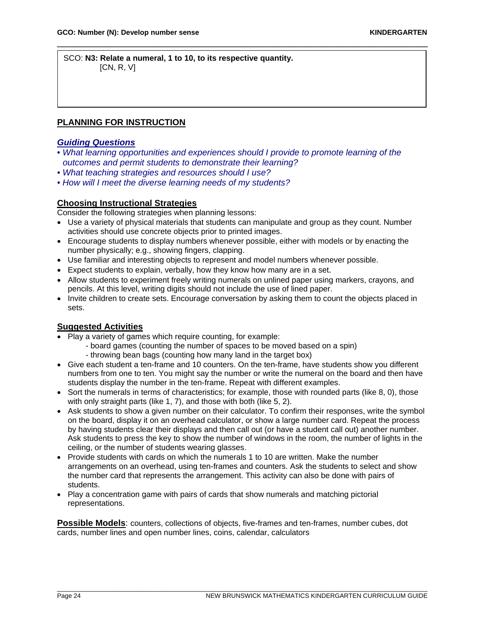SCO: **N3: Relate a numeral, 1 to 10, to its respective quantity.** [CN, R, V]

# **PLANNING FOR INSTRUCTION**

#### *Guiding Questions*

• *What learning opportunities and experiences should I provide to promote learning of the outcomes and permit students to demonstrate their learning?* 

\_\_\_\_\_\_\_\_\_\_\_\_\_\_\_\_\_\_\_\_\_\_\_\_\_\_\_\_\_\_\_\_\_\_\_\_\_\_\_\_\_\_\_\_\_\_\_\_\_\_\_\_\_\_\_\_\_\_\_\_\_\_\_\_\_\_\_\_\_\_

- *What teaching strategies and resources should I use?*
- *How will I meet the diverse learning needs of my students?*

## **Choosing Instructional Strategies**

Consider the following strategies when planning lessons:

- Use a variety of physical materials that students can manipulate and group as they count. Number activities should use concrete objects prior to printed images.
- Encourage students to display numbers whenever possible, either with models or by enacting the number physically; e.g., showing fingers, clapping.
- Use familiar and interesting objects to represent and model numbers whenever possible.
- Expect students to explain, verbally, how they know how many are in a set.
- Allow students to experiment freely writing numerals on unlined paper using markers, crayons, and pencils. At this level, writing digits should not include the use of lined paper.
- Invite children to create sets. Encourage conversation by asking them to count the objects placed in sets.

# **Suggested Activities**

- Play a variety of games which require counting, for example:
	- board games (counting the number of spaces to be moved based on a spin)
	- throwing bean bags (counting how many land in the target box)
- Give each student a ten-frame and 10 counters. On the ten-frame, have students show you different numbers from one to ten. You might say the number or write the numeral on the board and then have students display the number in the ten-frame. Repeat with different examples.
- Sort the numerals in terms of characteristics; for example, those with rounded parts (like 8, 0), those with only straight parts (like 1, 7), and those with both (like 5, 2).
- Ask students to show a given number on their calculator. To confirm their responses, write the symbol on the board, display it on an overhead calculator, or show a large number card. Repeat the process by having students clear their displays and then call out (or have a student call out) another number. Ask students to press the key to show the number of windows in the room, the number of lights in the ceiling, or the number of students wearing glasses.
- Provide students with cards on which the numerals 1 to 10 are written. Make the number arrangements on an overhead, using ten-frames and counters. Ask the students to select and show the number card that represents the arrangement. This activity can also be done with pairs of students.
- Play a concentration game with pairs of cards that show numerals and matching pictorial representations.

**Possible Models**: counters, collections of objects, five-frames and ten-frames, number cubes, dot cards, number lines and open number lines, coins, calendar, calculators

\_\_\_\_\_\_\_\_\_\_\_\_\_\_\_\_\_\_\_\_\_\_\_\_\_\_\_\_\_\_\_\_\_\_\_\_\_\_\_\_\_\_\_\_\_\_\_\_\_\_\_\_\_\_\_\_\_\_\_\_\_\_\_\_\_\_\_\_\_\_\_\_\_\_\_\_\_\_\_\_\_\_\_\_\_\_\_\_\_\_\_\_\_\_\_\_\_\_\_\_\_\_\_\_\_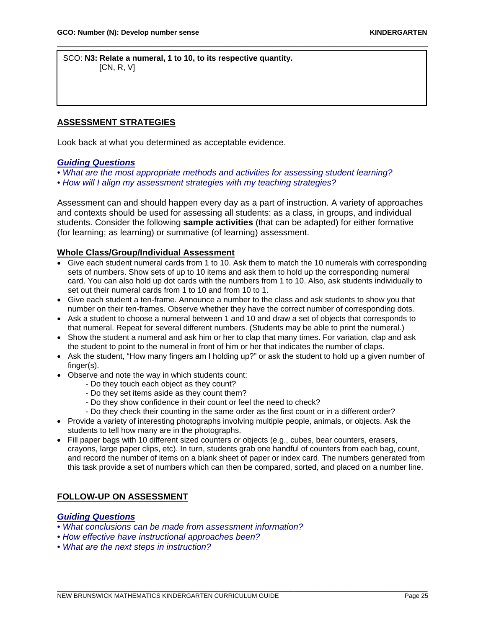SCO: **N3: Relate a numeral, 1 to 10, to its respective quantity.** [CN, R, V]

# **ASSESSMENT STRATEGIES**

Look back at what you determined as acceptable evidence.

# *Guiding Questions*

- *What are the most appropriate methods and activities for assessing student learning?*
- *How will I align my assessment strategies with my teaching strategies?*

Assessment can and should happen every day as a part of instruction. A variety of approaches and contexts should be used for assessing all students: as a class, in groups, and individual students. Consider the following **sample activities** (that can be adapted) for either formative (for learning; as learning) or summative (of learning) assessment.

\_\_\_\_\_\_\_\_\_\_\_\_\_\_\_\_\_\_\_\_\_\_\_\_\_\_\_\_\_\_\_\_\_\_\_\_\_\_\_\_\_\_\_\_\_\_\_\_\_\_\_\_\_\_\_\_\_\_\_\_\_\_\_\_\_\_\_\_\_\_

## **Whole Class/Group/Individual Assessment**

- Give each student numeral cards from 1 to 10. Ask them to match the 10 numerals with corresponding sets of numbers. Show sets of up to 10 items and ask them to hold up the corresponding numeral card. You can also hold up dot cards with the numbers from 1 to 10. Also, ask students individually to set out their numeral cards from 1 to 10 and from 10 to 1.
- Give each student a ten-frame. Announce a number to the class and ask students to show you that number on their ten-frames. Observe whether they have the correct number of corresponding dots.
- Ask a student to choose a numeral between 1 and 10 and draw a set of objects that corresponds to that numeral. Repeat for several different numbers. (Students may be able to print the numeral.)
- Show the student a numeral and ask him or her to clap that many times. For variation, clap and ask the student to point to the numeral in front of him or her that indicates the number of claps.
- Ask the student, "How many fingers am I holding up?" or ask the student to hold up a given number of finger(s).
- Observe and note the way in which students count:
	- Do they touch each object as they count?
	- Do they set items aside as they count them?
	- Do they show confidence in their count or feel the need to check?
	- Do they check their counting in the same order as the first count or in a different order?
- Provide a variety of interesting photographs involving multiple people, animals, or objects. Ask the students to tell how many are in the photographs.
- Fill paper bags with 10 different sized counters or objects (e.g., cubes, bear counters, erasers, crayons, large paper clips, etc). In turn, students grab one handful of counters from each bag, count, and record the number of items on a blank sheet of paper or index card. The numbers generated from this task provide a set of numbers which can then be compared, sorted, and placed on a number line.

\_\_\_\_\_\_\_\_\_\_\_\_\_\_\_\_\_\_\_\_\_\_\_\_\_\_\_\_\_\_\_\_\_\_\_\_\_\_\_\_\_\_\_\_\_\_\_\_\_\_\_\_\_\_\_\_\_\_\_\_\_\_\_\_\_\_\_\_\_\_\_\_\_\_\_\_\_\_\_\_\_\_\_\_\_\_\_\_\_\_\_\_\_\_\_\_\_\_\_\_\_\_\_\_\_

## **FOLLOW-UP ON ASSESSMENT**

# *Guiding Questions*

- *What conclusions can be made from assessment information?*
- *How effective have instructional approaches been?*
- *What are the next steps in instruction?*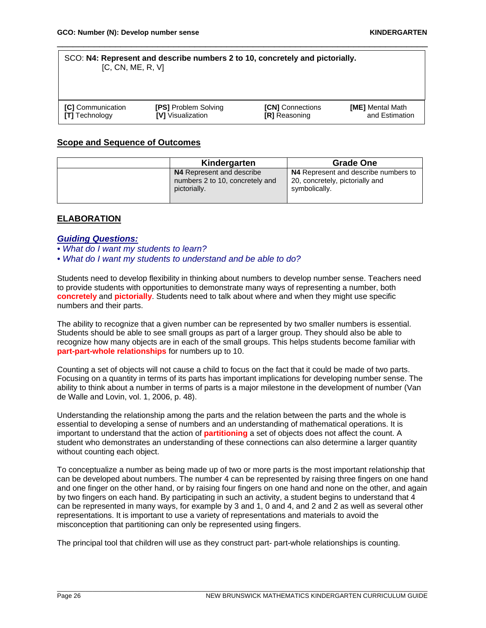#### SCO: **N4: Represent and describe numbers 2 to 10, concretely and pictorially.** [C, CN, ME, R, V]

| <b>ICI</b> Communication | <b>[PS] Problem Solving</b> | <b>[CN]</b> Connections | <b>[ME]</b> Mental Math |
|--------------------------|-----------------------------|-------------------------|-------------------------|
| <b>[T]</b> Technology    | <b>IVI</b> Visualization    | <b>[R]</b> Reasoning    | and Estimation          |

\_\_\_\_\_\_\_\_\_\_\_\_\_\_\_\_\_\_\_\_\_\_\_\_\_\_\_\_\_\_\_\_\_\_\_\_\_\_\_\_\_\_\_\_\_\_\_\_\_\_\_\_\_\_\_\_\_\_\_\_\_\_\_\_\_\_\_\_\_\_

# **Scope and Sequence of Outcomes**

| Kindergarten                                                                 | <b>Grade One</b>                                                                         |
|------------------------------------------------------------------------------|------------------------------------------------------------------------------------------|
| N4 Represent and describe<br>numbers 2 to 10, concretely and<br>pictorially. | N4 Represent and describe numbers to<br>20, concretely, pictorially and<br>symbolically. |

# **ELABORATION**

#### *Guiding Questions:*

- *What do I want my students to learn?*
- *What do I want my students to understand and be able to do?*

Students need to develop flexibility in thinking about numbers to develop number sense. Teachers need to provide students with opportunities to demonstrate many ways of representing a number, both **concretely** and **pictorially**. Students need to talk about where and when they might use specific numbers and their parts.

The ability to recognize that a given number can be represented by two smaller numbers is essential. Students should be able to see small groups as part of a larger group. They should also be able to recognize how many objects are in each of the small groups. This helps students become familiar with **part-part-whole relationships** for numbers up to 10.

Counting a set of objects will not cause a child to focus on the fact that it could be made of two parts. Focusing on a quantity in terms of its parts has important implications for developing number sense. The ability to think about a number in terms of parts is a major milestone in the development of number (Van de Walle and Lovin, vol. 1, 2006, p. 48).

Understanding the relationship among the parts and the relation between the parts and the whole is essential to developing a sense of numbers and an understanding of mathematical operations. It is important to understand that the action of **partitioning** a set of objects does not affect the count. A student who demonstrates an understanding of these connections can also determine a larger quantity without counting each object.

To conceptualize a number as being made up of two or more parts is the most important relationship that can be developed about numbers. The number 4 can be represented by raising three fingers on one hand and one finger on the other hand, or by raising four fingers on one hand and none on the other, and again by two fingers on each hand. By participating in such an activity, a student begins to understand that 4 can be represented in many ways, for example by 3 and 1, 0 and 4, and 2 and 2 as well as several other representations. It is important to use a variety of representations and materials to avoid the misconception that partitioning can only be represented using fingers.

The principal tool that children will use as they construct part- part-whole relationships is counting.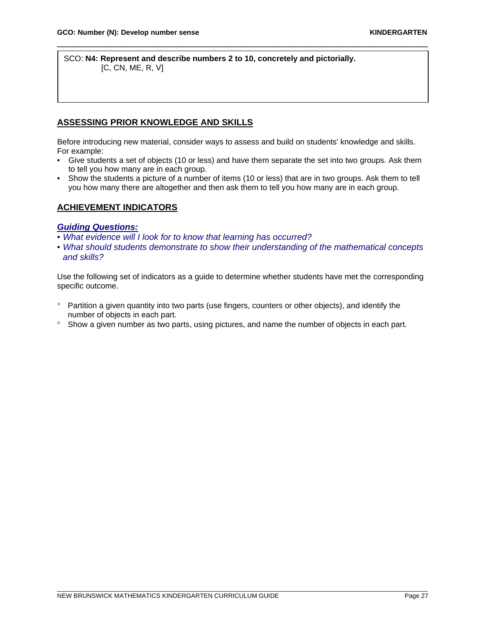SCO: **N4: Represent and describe numbers 2 to 10, concretely and pictorially.** [C, CN, ME, R, V]

# **ASSESSING PRIOR KNOWLEDGE AND SKILLS**

Before introducing new material, consider ways to assess and build on students' knowledge and skills. For example:

\_\_\_\_\_\_\_\_\_\_\_\_\_\_\_\_\_\_\_\_\_\_\_\_\_\_\_\_\_\_\_\_\_\_\_\_\_\_\_\_\_\_\_\_\_\_\_\_\_\_\_\_\_\_\_\_\_\_\_\_\_\_\_\_\_\_\_\_\_\_

- Give students a set of objects (10 or less) and have them separate the set into two groups. Ask them to tell you how many are in each group.
- Show the students a picture of a number of items (10 or less) that are in two groups. Ask them to tell you how many there are altogether and then ask them to tell you how many are in each group.

# **ACHIEVEMENT INDICATORS**

#### *Guiding Questions:*

- *What evidence will I look for to know that learning has occurred?*
- *What should students demonstrate to show their understanding of the mathematical concepts and skills?*

Use the following set of indicators as a guide to determine whether students have met the corresponding specific outcome.

- ° Partition a given quantity into two parts (use fingers, counters or other objects), and identify the number of objects in each part.
- ° Show a given number as two parts, using pictures, and name the number of objects in each part.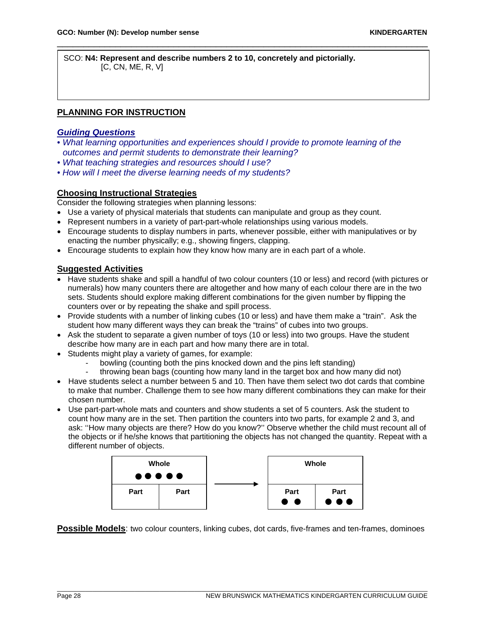SCO: **N4: Represent and describe numbers 2 to 10, concretely and pictorially.**  $[C, CN, ME, R, V]$ 

# **PLANNING FOR INSTRUCTION**

## *Guiding Questions*

• *What learning opportunities and experiences should I provide to promote learning of the outcomes and permit students to demonstrate their learning?* 

\_\_\_\_\_\_\_\_\_\_\_\_\_\_\_\_\_\_\_\_\_\_\_\_\_\_\_\_\_\_\_\_\_\_\_\_\_\_\_\_\_\_\_\_\_\_\_\_\_\_\_\_\_\_\_\_\_\_\_\_\_\_\_\_\_\_\_\_\_\_

- *What teaching strategies and resources should I use?*
- *How will I meet the diverse learning needs of my students?*

# **Choosing Instructional Strategies**

Consider the following strategies when planning lessons:

- Use a variety of physical materials that students can manipulate and group as they count.
- Represent numbers in a variety of part-part-whole relationships using various models.
- Encourage students to display numbers in parts, whenever possible, either with manipulatives or by enacting the number physically; e.g., showing fingers, clapping.
- Encourage students to explain how they know how many are in each part of a whole.

## **Suggested Activities**

- Have students shake and spill a handful of two colour counters (10 or less) and record (with pictures or numerals) how many counters there are altogether and how many of each colour there are in the two sets. Students should explore making different combinations for the given number by flipping the counters over or by repeating the shake and spill process.
- Provide students with a number of linking cubes (10 or less) and have them make a "train". Ask the student how many different ways they can break the "trains" of cubes into two groups.
- Ask the student to separate a given number of toys (10 or less) into two groups. Have the student describe how many are in each part and how many there are in total.
- Students might play a variety of games, for example:
	- bowling (counting both the pins knocked down and the pins left standing)
	- throwing bean bags (counting how many land in the target box and how many did not)
- Have students select a number between 5 and 10. Then have them select two dot cards that combine to make that number. Challenge them to see how many different combinations they can make for their chosen number.
- Use part-part-whole mats and counters and show students a set of 5 counters. Ask the student to count how many are in the set. Then partition the counters into two parts, for example 2 and 3, and ask: ''How many objects are there? How do you know?'' Observe whether the child must recount all of the objects or if he/she knows that partitioning the objects has not changed the quantity. Repeat with a different number of objects.



**Possible Models**: two colour counters, linking cubes, dot cards, five-frames and ten-frames, dominoes

\_\_\_\_\_\_\_\_\_\_\_\_\_\_\_\_\_\_\_\_\_\_\_\_\_\_\_\_\_\_\_\_\_\_\_\_\_\_\_\_\_\_\_\_\_\_\_\_\_\_\_\_\_\_\_\_\_\_\_\_\_\_\_\_\_\_\_\_\_\_\_\_\_\_\_\_\_\_\_\_\_\_\_\_\_\_\_\_\_\_\_\_\_\_\_\_\_\_\_\_\_\_\_\_\_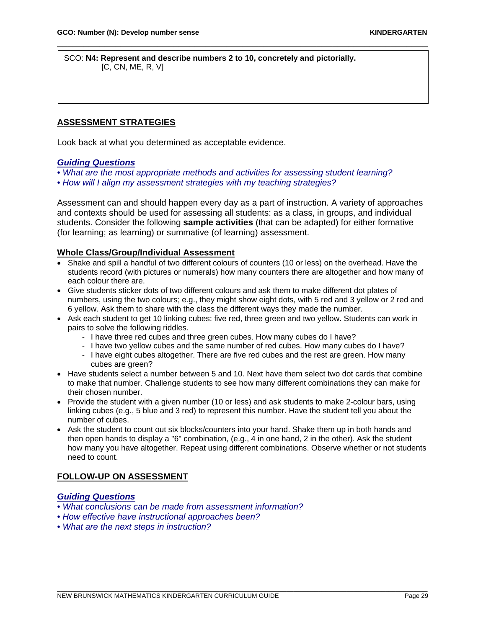SCO: **N4: Represent and describe numbers 2 to 10, concretely and pictorially.**  $[C, CN, ME, R, V]$ 

\_\_\_\_\_\_\_\_\_\_\_\_\_\_\_\_\_\_\_\_\_\_\_\_\_\_\_\_\_\_\_\_\_\_\_\_\_\_\_\_\_\_\_\_\_\_\_\_\_\_\_\_\_\_\_\_\_\_\_\_\_\_\_\_\_\_\_\_\_\_

# **ASSESSMENT STRATEGIES**

Look back at what you determined as acceptable evidence.

## *Guiding Questions*

- *What are the most appropriate methods and activities for assessing student learning?*
- *How will I align my assessment strategies with my teaching strategies?*

Assessment can and should happen every day as a part of instruction. A variety of approaches and contexts should be used for assessing all students: as a class, in groups, and individual students. Consider the following **sample activities** (that can be adapted) for either formative (for learning; as learning) or summative (of learning) assessment.

## **Whole Class/Group/Individual Assessment**

- Shake and spill a handful of two different colours of counters (10 or less) on the overhead. Have the students record (with pictures or numerals) how many counters there are altogether and how many of each colour there are.
- Give students sticker dots of two different colours and ask them to make different dot plates of numbers, using the two colours; e.g., they might show eight dots, with 5 red and 3 yellow or 2 red and 6 yellow. Ask them to share with the class the different ways they made the number.
- Ask each student to get 10 linking cubes: five red, three green and two yellow. Students can work in pairs to solve the following riddles.
	- I have three red cubes and three green cubes. How many cubes do I have?
	- I have two yellow cubes and the same number of red cubes. How many cubes do I have?
	- I have eight cubes altogether. There are five red cubes and the rest are green. How many cubes are green?
- Have students select a number between 5 and 10. Next have them select two dot cards that combine to make that number. Challenge students to see how many different combinations they can make for their chosen number.
- Provide the student with a given number (10 or less) and ask students to make 2-colour bars, using linking cubes (e.g., 5 blue and 3 red) to represent this number. Have the student tell you about the number of cubes.
- Ask the student to count out six blocks/counters into your hand. Shake them up in both hands and then open hands to display a "6" combination, (e.g., 4 in one hand, 2 in the other). Ask the student how many you have altogether. Repeat using different combinations. Observe whether or not students need to count.

# **FOLLOW-UP ON ASSESSMENT**

# *Guiding Questions*

- *What conclusions can be made from assessment information?*
- *How effective have instructional approaches been?*
- *What are the next steps in instruction?*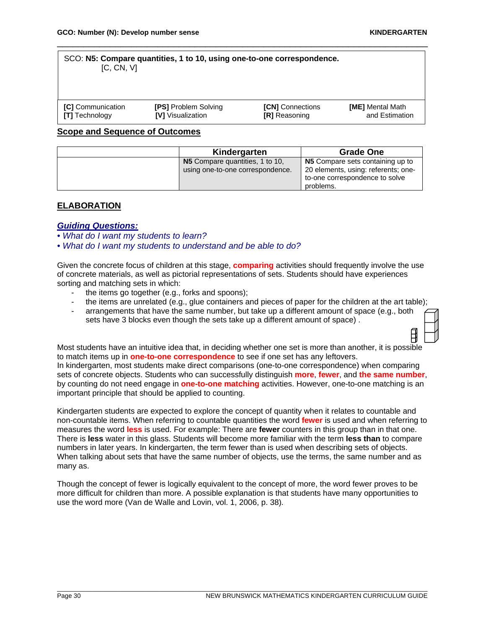日

#### SCO: **N5: Compare quantities, 1 to 10, using one-to-one correspondence.** [C, CN, V]

| <b>ICI</b> Communication | <b>[PS] Problem Solving</b> | <b>[CN]</b> Connections | <b>[ME]</b> Mental Math |
|--------------------------|-----------------------------|-------------------------|-------------------------|
| <b>[T]</b> Technology    | <b>IVI</b> Visualization    | <b>[R]</b> Reasoning    | and Estimation          |

\_\_\_\_\_\_\_\_\_\_\_\_\_\_\_\_\_\_\_\_\_\_\_\_\_\_\_\_\_\_\_\_\_\_\_\_\_\_\_\_\_\_\_\_\_\_\_\_\_\_\_\_\_\_\_\_\_\_\_\_\_\_\_\_\_\_\_\_\_\_

#### **Scope and Sequence of Outcomes**

| Kindergarten                     | <b>Grade One</b>                    |
|----------------------------------|-------------------------------------|
| N5 Compare quantities, 1 to 10,  | N5 Compare sets containing up to    |
| using one-to-one correspondence. | 20 elements, using: referents; one- |
|                                  | to-one correspondence to solve      |
|                                  | problems.                           |

# **ELABORATION**

#### *Guiding Questions:*

*• What do I want my students to learn?* 

*• What do I want my students to understand and be able to do?*

Given the concrete focus of children at this stage, **comparing** activities should frequently involve the use of concrete materials, as well as pictorial representations of sets. Students should have experiences sorting and matching sets in which:

- the items go together (e.g., forks and spoons);
- the items are unrelated (e.g., glue containers and pieces of paper for the children at the art table);
- arrangements that have the same number, but take up a different amount of space (e.g., both sets have 3 blocks even though the sets take up a different amount of space) .

Most students have an intuitive idea that, in deciding whether one set is more than another, it is possible to match items up in **one-to-one correspondence** to see if one set has any leftovers. In kindergarten, most students make direct comparisons (one-to-one correspondence) when comparing sets of concrete objects. Students who can successfully distinguish **more**, **fewer**, and **the same number**, by counting do not need engage in **one-to-one matching** activities. However, one-to-one matching is an important principle that should be applied to counting.

Kindergarten students are expected to explore the concept of quantity when it relates to countable and non-countable items. When referring to countable quantities the word **fewer** is used and when referring to measures the word **less** is used. For example: There are **fewer** counters in this group than in that one. There is **less** water in this glass. Students will become more familiar with the term **less than** to compare numbers in later years. In kindergarten, the term fewer than is used when describing sets of objects. When talking about sets that have the same number of objects, use the terms, the same number and as many as.

Though the concept of fewer is logically equivalent to the concept of more, the word fewer proves to be more difficult for children than more. A possible explanation is that students have many opportunities to use the word more (Van de Walle and Lovin, vol. 1, 2006, p. 38)*.*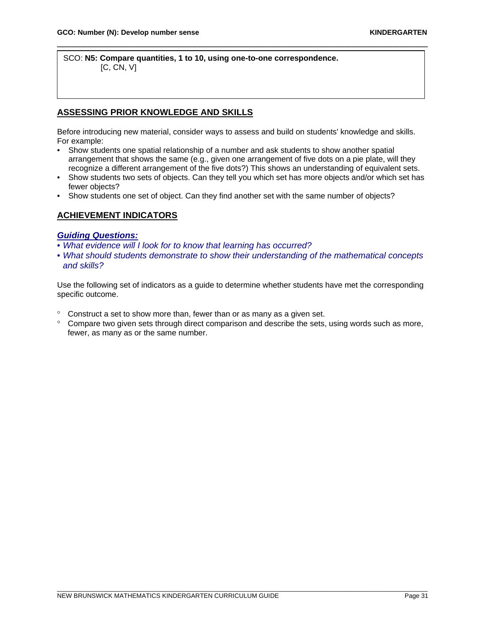SCO: **N5: Compare quantities, 1 to 10, using one-to-one correspondence.** [C, CN, V]

# **ASSESSING PRIOR KNOWLEDGE AND SKILLS**

Before introducing new material, consider ways to assess and build on students' knowledge and skills. For example:

\_\_\_\_\_\_\_\_\_\_\_\_\_\_\_\_\_\_\_\_\_\_\_\_\_\_\_\_\_\_\_\_\_\_\_\_\_\_\_\_\_\_\_\_\_\_\_\_\_\_\_\_\_\_\_\_\_\_\_\_\_\_\_\_\_\_\_\_\_\_

- Show students one spatial relationship of a number and ask students to show another spatial arrangement that shows the same (e.g., given one arrangement of five dots on a pie plate, will they recognize a different arrangement of the five dots?) This shows an understanding of equivalent sets.
- Show students two sets of objects. Can they tell you which set has more objects and/or which set has fewer objects?
- Show students one set of object. Can they find another set with the same number of objects?

# **ACHIEVEMENT INDICATORS**

# *Guiding Questions:*

- *What evidence will I look for to know that learning has occurred?*
- *What should students demonstrate to show their understanding of the mathematical concepts and skills?*

Use the following set of indicators as a guide to determine whether students have met the corresponding specific outcome.

- ° Construct a set to show more than, fewer than or as many as a given set.
- ° Compare two given sets through direct comparison and describe the sets, using words such as more, fewer, as many as or the same number.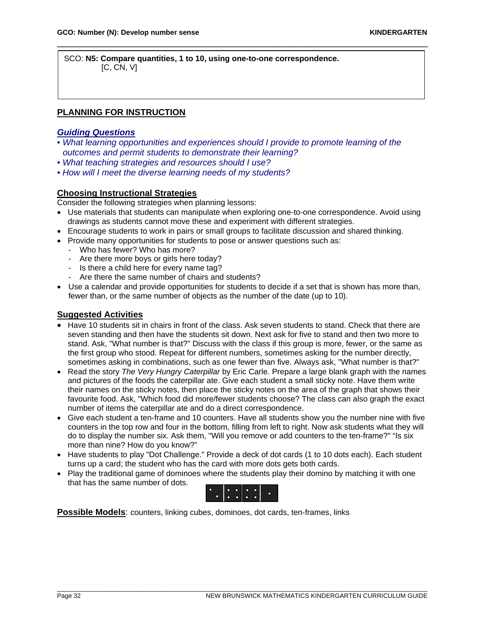SCO: **N5: Compare quantities, 1 to 10, using one-to-one correspondence.** [C, CN, V]

# **PLANNING FOR INSTRUCTION**

# *Guiding Questions*

• *What learning opportunities and experiences should I provide to promote learning of the outcomes and permit students to demonstrate their learning?* 

\_\_\_\_\_\_\_\_\_\_\_\_\_\_\_\_\_\_\_\_\_\_\_\_\_\_\_\_\_\_\_\_\_\_\_\_\_\_\_\_\_\_\_\_\_\_\_\_\_\_\_\_\_\_\_\_\_\_\_\_\_\_\_\_\_\_\_\_\_\_

- *What teaching strategies and resources should I use?*
- *How will I meet the diverse learning needs of my students?*

## **Choosing Instructional Strategies**

Consider the following strategies when planning lessons:

- Use materials that students can manipulate when exploring one-to-one correspondence. Avoid using drawings as students cannot move these and experiment with different strategies.
- Encourage students to work in pairs or small groups to facilitate discussion and shared thinking.
- Provide many opportunities for students to pose or answer questions such as:
	- Who has fewer? Who has more?
	- Are there more boys or girls here today?
	- Is there a child here for every name tag?
	- Are there the same number of chairs and students?
- Use a calendar and provide opportunities for students to decide if a set that is shown has more than, fewer than, or the same number of objects as the number of the date (up to 10).

#### **Suggested Activities**

- Have 10 students sit in chairs in front of the class. Ask seven students to stand. Check that there are seven standing and then have the students sit down. Next ask for five to stand and then two more to stand. Ask, "What number is that?" Discuss with the class if this group is more, fewer, or the same as the first group who stood. Repeat for different numbers, sometimes asking for the number directly, sometimes asking in combinations, such as one fewer than five. Always ask, "What number is that?"
- Read the story *The Very Hungry Caterpillar* by Eric Carle. Prepare a large blank graph with the names and pictures of the foods the caterpillar ate. Give each student a small sticky note. Have them write their names on the sticky notes, then place the sticky notes on the area of the graph that shows their favourite food. Ask, "Which food did more/fewer students choose? The class can also graph the exact number of items the caterpillar ate and do a direct correspondence.
- Give each student a ten-frame and 10 counters. Have all students show you the number nine with five counters in the top row and four in the bottom, filling from left to right. Now ask students what they will do to display the number six. Ask them, "Will you remove or add counters to the ten-frame?" "Is six more than nine? How do you know?"
- Have students to play "Dot Challenge." Provide a deck of dot cards (1 to 10 dots each). Each student turns up a card; the student who has the card with more dots gets both cards.
- Play the traditional game of dominoes where the students play their domino by matching it with one that has the same number of dots.



\_\_\_\_\_\_\_\_\_\_\_\_\_\_\_\_\_\_\_\_\_\_\_\_\_\_\_\_\_\_\_\_\_\_\_\_\_\_\_\_\_\_\_\_\_\_\_\_\_\_\_\_\_\_\_\_\_\_\_\_\_\_\_\_\_\_\_\_\_\_\_\_\_\_\_\_\_\_\_\_\_\_\_\_\_\_\_\_\_\_\_\_\_\_\_\_\_\_\_\_\_\_\_\_\_

**Possible Models**: counters, linking cubes, dominoes, dot cards, ten-frames, links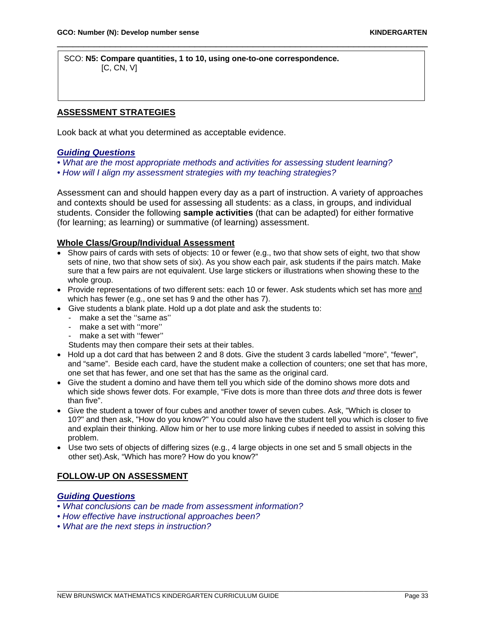SCO: **N5: Compare quantities, 1 to 10, using one-to-one correspondence.** [C, CN, V]

# **ASSESSMENT STRATEGIES**

Look back at what you determined as acceptable evidence.

#### *Guiding Questions*

- *What are the most appropriate methods and activities for assessing student learning?*
- *How will I align my assessment strategies with my teaching strategies?*

Assessment can and should happen every day as a part of instruction. A variety of approaches and contexts should be used for assessing all students: as a class, in groups, and individual students. Consider the following **sample activities** (that can be adapted) for either formative (for learning; as learning) or summative (of learning) assessment.

\_\_\_\_\_\_\_\_\_\_\_\_\_\_\_\_\_\_\_\_\_\_\_\_\_\_\_\_\_\_\_\_\_\_\_\_\_\_\_\_\_\_\_\_\_\_\_\_\_\_\_\_\_\_\_\_\_\_\_\_\_\_\_\_\_\_\_\_\_\_

## **Whole Class/Group/Individual Assessment**

- Show pairs of cards with sets of objects: 10 or fewer (e.g., two that show sets of eight, two that show sets of nine, two that show sets of six). As you show each pair, ask students if the pairs match. Make sure that a few pairs are not equivalent. Use large stickers or illustrations when showing these to the whole group.
- Provide representations of two different sets: each 10 or fewer. Ask students which set has more and which has fewer (e.g., one set has 9 and the other has 7).
- Give students a blank plate. Hold up a dot plate and ask the students to:
	- make a set the ''same as''
	- make a set with "more"
	- make a set with "fewer"

Students may then compare their sets at their tables.

- Hold up a dot card that has between 2 and 8 dots. Give the student 3 cards labelled "more", "fewer", and "same". Beside each card, have the student make a collection of counters; one set that has more, one set that has fewer, and one set that has the same as the original card.
- Give the student a domino and have them tell you which side of the domino shows more dots and which side shows fewer dots. For example, "Five dots is more than three dots *and* three dots is fewer than five".
- Give the student a tower of four cubes and another tower of seven cubes. Ask, "Which is closer to 10?" and then ask, "How do you know?" You could also have the student tell you which is closer to five and explain their thinking. Allow him or her to use more linking cubes if needed to assist in solving this problem.
- Use two sets of objects of differing sizes (e.g., 4 large objects in one set and 5 small objects in the other set).Ask, "Which has more? How do you know?"

## **FOLLOW-UP ON ASSESSMENT**

## *Guiding Questions*

- *What conclusions can be made from assessment information?*
- *How effective have instructional approaches been?*
- *What are the next steps in instruction?*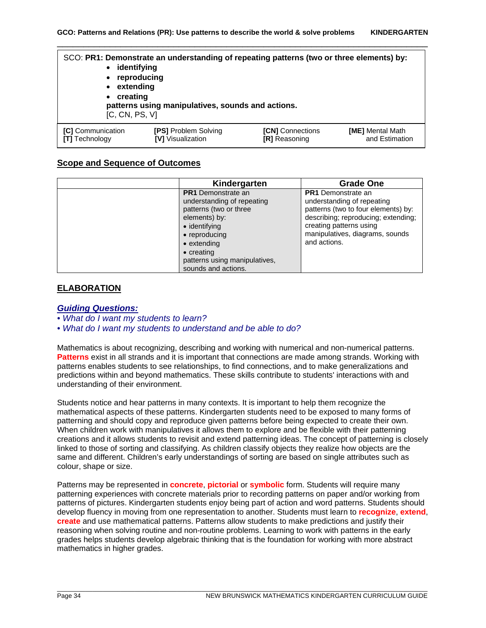| identifying<br>$\bullet$<br>reproducing<br>٠<br>extending<br>$\bullet$<br>• creating<br>[C, CN, PS, V]                                                                                         | SCO: PR1: Demonstrate an understanding of repeating patterns (two or three elements) by:<br>patterns using manipulatives, sounds and actions. |  |  |
|------------------------------------------------------------------------------------------------------------------------------------------------------------------------------------------------|-----------------------------------------------------------------------------------------------------------------------------------------------|--|--|
| [C] Communication<br><b>[PS] Problem Solving</b><br><b>[CN]</b> Connections<br><b>[ME]</b> Mental Math<br>[V] Visualization<br>and Estimation<br><b>[T]</b> Technology<br><b>[R]</b> Reasoning |                                                                                                                                               |  |  |

#### **Scope and Sequence of Outcomes**

| Kindergarten                                                                                                                                                                                                                                      | <b>Grade One</b>                                                                                                                                                                                                    |
|---------------------------------------------------------------------------------------------------------------------------------------------------------------------------------------------------------------------------------------------------|---------------------------------------------------------------------------------------------------------------------------------------------------------------------------------------------------------------------|
| <b>PR1</b> Demonstrate an<br>understanding of repeating<br>patterns (two or three<br>elements) by:<br>$\bullet$ identifying<br>• reproducing<br>$\bullet$ extending<br>$\bullet$ creating<br>patterns using manipulatives,<br>sounds and actions. | <b>PR1</b> Demonstrate an<br>understanding of repeating<br>patterns (two to four elements) by:<br>describing; reproducing; extending;<br>creating patterns using<br>manipulatives, diagrams, sounds<br>and actions. |

## **ELABORATION**

#### *Guiding Questions:*

*• What do I want my students to learn?* 

*• What do I want my students to understand and be able to do?*

Mathematics is about recognizing, describing and working with numerical and non-numerical patterns. **Patterns** exist in all strands and it is important that connections are made among strands. Working with patterns enables students to see relationships, to find connections, and to make generalizations and predictions within and beyond mathematics. These skills contribute to students' interactions with and understanding of their environment.

Students notice and hear patterns in many contexts. It is important to help them recognize the mathematical aspects of these patterns. Kindergarten students need to be exposed to many forms of patterning and should copy and reproduce given patterns before being expected to create their own. When children work with manipulatives it allows them to explore and be flexible with their patterning creations and it allows students to revisit and extend patterning ideas. The concept of patterning is closely linked to those of sorting and classifying. As children classify objects they realize how objects are the same and different. Children's early understandings of sorting are based on single attributes such as colour, shape or size.

Patterns may be represented in **concrete**, **pictorial** or **symbolic** form. Students will require many patterning experiences with concrete materials prior to recording patterns on paper and/or working from patterns of pictures. Kindergarten students enjoy being part of action and word patterns. Students should develop fluency in moving from one representation to another. Students must learn to **recognize**, **extend**, **create** and use mathematical patterns. Patterns allow students to make predictions and justify their reasoning when solving routine and non-routine problems. Learning to work with patterns in the early grades helps students develop algebraic thinking that is the foundation for working with more abstract mathematics in higher grades.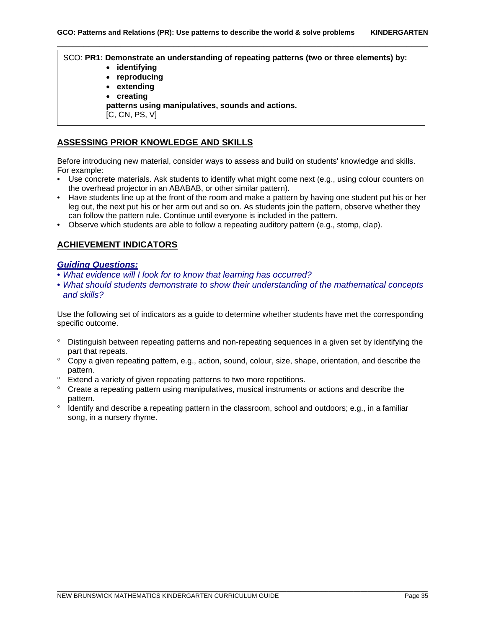SCO: **PR1: Demonstrate an understanding of repeating patterns (two or three elements) by:**

- **identifying**
- **reproducing**
- **extending**
- **creating**

**patterns using manipulatives, sounds and actions.**

[C, CN, PS, V]

# **ASSESSING PRIOR KNOWLEDGE AND SKILLS**

Before introducing new material, consider ways to assess and build on students' knowledge and skills. For example:

- Use concrete materials. Ask students to identify what might come next (e.g., using colour counters on the overhead projector in an ABABAB, or other similar pattern).
- Have students line up at the front of the room and make a pattern by having one student put his or her leg out, the next put his or her arm out and so on. As students join the pattern, observe whether they can follow the pattern rule. Continue until everyone is included in the pattern.
- Observe which students are able to follow a repeating auditory pattern (e.g., stomp, clap).

# **ACHIEVEMENT INDICATORS**

## *Guiding Questions:*

- *What evidence will I look for to know that learning has occurred?*
- *What should students demonstrate to show their understanding of the mathematical concepts and skills?*

Use the following set of indicators as a guide to determine whether students have met the corresponding specific outcome.

- ° Distinguish between repeating patterns and non-repeating sequences in a given set by identifying the part that repeats.
- ° Copy a given repeating pattern, e.g., action, sound, colour, size, shape, orientation, and describe the pattern.
- ° Extend a variety of given repeating patterns to two more repetitions.
- ° Create a repeating pattern using manipulatives, musical instruments or actions and describe the pattern.
- ° Identify and describe a repeating pattern in the classroom, school and outdoors; e.g., in a familiar song, in a nursery rhyme.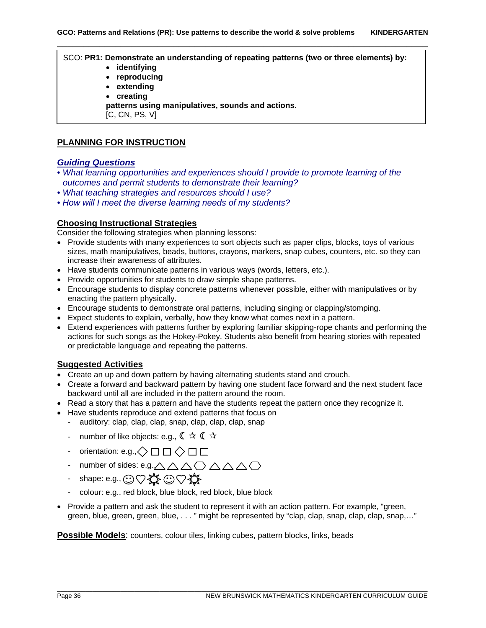#### SCO: **PR1: Demonstrate an understanding of repeating patterns (two or three elements) by:**

- **identifying**
- **reproducing**
- **extending**
- **creating**
- **patterns using manipulatives, sounds and actions.**
- [C, CN, PS, V]

# **PLANNING FOR INSTRUCTION**

## *Guiding Questions*

- *What learning opportunities and experiences should I provide to promote learning of the outcomes and permit students to demonstrate their learning?*
- *What teaching strategies and resources should I use?*
- *How will I meet the diverse learning needs of my students?*

## **Choosing Instructional Strategies**

Consider the following strategies when planning lessons:

- Provide students with many experiences to sort objects such as paper clips, blocks, toys of various sizes, math manipulatives, beads, buttons, crayons, markers, snap cubes, counters, etc. so they can increase their awareness of attributes.
- Have students communicate patterns in various ways (words, letters, etc.).
- Provide opportunities for students to draw simple shape patterns.
- Encourage students to display concrete patterns whenever possible, either with manipulatives or by enacting the pattern physically.
- Encourage students to demonstrate oral patterns, including singing or clapping/stomping.
- Expect students to explain, verbally, how they know what comes next in a pattern.
- Extend experiences with patterns further by exploring familiar skipping-rope chants and performing the actions for such songs as the Hokey-Pokey. Students also benefit from hearing stories with repeated or predictable language and repeating the patterns.

# **Suggested Activities**

- Create an up and down pattern by having alternating students stand and crouch.
- Create a forward and backward pattern by having one student face forward and the next student face backward until all are included in the pattern around the room.
- Read a story that has a pattern and have the students repeat the pattern once they recognize it.
- Have students reproduce and extend patterns that focus on
	- auditory: clap, clap, clap, snap, clap, clap, clap, snap
	- number of like objects: e.g.,  $\mathbb{C} \times \mathbb{C} \times$
	- orientation: e.g., $\diamondsuit \square \square \diamondsuit \square \square$
	- number of sides: e.g. $\triangle \triangle \triangle \triangle \triangle \triangle$
	- shape: e.g.,  $\odot \heartsuit$   $\leftrightarrow$   $\odot \heartsuit$   $\leftrightarrow$
	- colour: e.g., red block, blue block, red block, blue block
- Provide a pattern and ask the student to represent it with an action pattern. For example, "green, green, blue, green, green, blue, . . . " might be represented by "clap, clap, snap, clap, clap, snap,…"

**Possible Models**: counters, colour tiles, linking cubes, pattern blocks, links, beads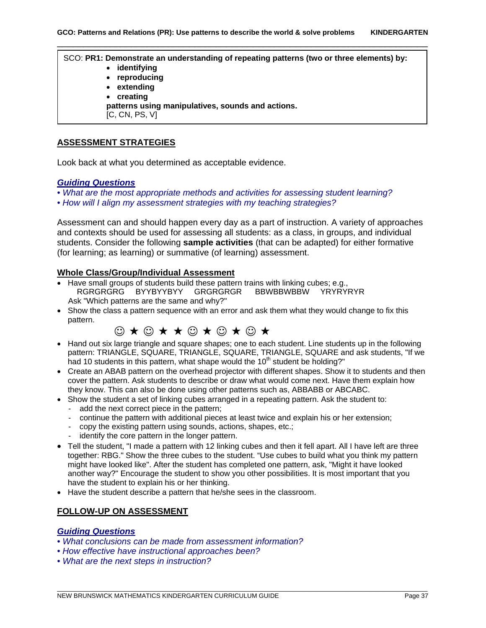SCO: **PR1: Demonstrate an understanding of repeating patterns (two or three elements) by:** • **identifying** • **reproducing** • **extending** • **creating patterns using manipulatives, sounds and actions.** [C, CN, PS, V]

#### **ASSESSMENT STRATEGIES**

Look back at what you determined as acceptable evidence.

#### *Guiding Questions*

- *What are the most appropriate methods and activities for assessing student learning?*
- *How will I align my assessment strategies with my teaching strategies?*

Assessment can and should happen every day as a part of instruction. A variety of approaches and contexts should be used for assessing all students: as a class, in groups, and individual students. Consider the following **sample activities** (that can be adapted) for either formative (for learning; as learning) or summative (of learning) assessment.

#### **Whole Class/Group/Individual Assessment**

- Have small groups of students build these pattern trains with linking cubes; e.g., RGRGRGRG BYYBYYBYY GRGRGRGR Ask "Which patterns are the same and why?"
- Show the class a pattern sequence with an error and ask them what they would change to fix this pattern.



- Hand out six large triangle and square shapes; one to each student. Line students up in the following pattern: TRIANGLE, SQUARE, TRIANGLE, SQUARE, TRIANGLE, SQUARE and ask students, "If we had 10 students in this pattern, what shape would the  $10<sup>th</sup>$  student be holding?"
- Create an ABAB pattern on the overhead projector with different shapes. Show it to students and then cover the pattern. Ask students to describe or draw what would come next. Have them explain how they know. This can also be done using other patterns such as, ABBABB or ABCABC.
- Show the student a set of linking cubes arranged in a repeating pattern. Ask the student to:
	- add the next correct piece in the pattern;
	- continue the pattern with additional pieces at least twice and explain his or her extension;
	- copy the existing pattern using sounds, actions, shapes, etc.;
	- identify the core pattern in the longer pattern.
- Tell the student, "I made a pattern with 12 linking cubes and then it fell apart. All I have left are three together: RBG." Show the three cubes to the student. "Use cubes to build what you think my pattern might have looked like". After the student has completed one pattern, ask, "Might it have looked another way?" Encourage the student to show you other possibilities. It is most important that you have the student to explain his or her thinking.
- Have the student describe a pattern that he/she sees in the classroom.

# **FOLLOW-UP ON ASSESSMENT**

#### *Guiding Questions*

- *What conclusions can be made from assessment information?*
- *How effective have instructional approaches been?*
- *What are the next steps in instruction?*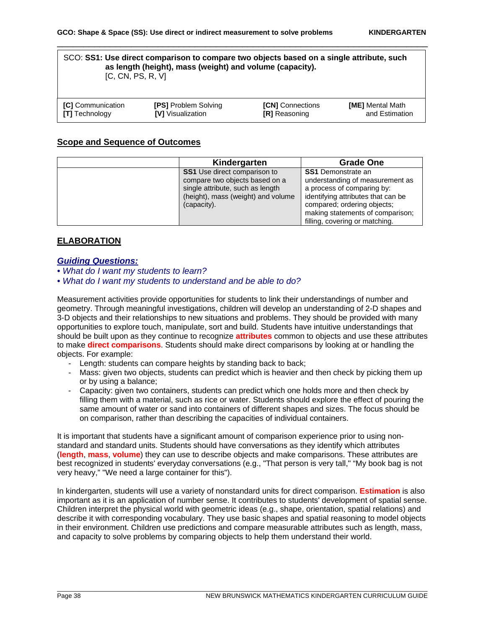#### SCO: **SS1: Use direct comparison to compare two objects based on a single attribute, such as length (height), mass (weight) and volume (capacity).** [C, CN, PS, R, V]

\_\_\_\_\_\_\_\_\_\_\_\_\_\_\_\_\_\_\_\_\_\_\_\_\_\_\_\_\_\_\_\_\_\_\_\_\_\_\_\_\_\_\_\_\_\_\_\_\_\_\_\_\_\_\_\_\_\_\_\_\_\_\_\_\_\_\_\_\_\_

| <b>ICI</b> Communication | <b>[PS] Problem Solving</b> | <b>[CN]</b> Connections | <b>[ME]</b> Mental Math |
|--------------------------|-----------------------------|-------------------------|-------------------------|
| <b>[T]</b> Technology    | <b>IVI</b> Visualization    | <b>[R]</b> Reasoning    | and Estimation          |

#### **Scope and Sequence of Outcomes**

| Kindergarten                                                                                                                                                   | <b>Grade One</b>                                                                                                                                                                                                                      |
|----------------------------------------------------------------------------------------------------------------------------------------------------------------|---------------------------------------------------------------------------------------------------------------------------------------------------------------------------------------------------------------------------------------|
| <b>SS1</b> Use direct comparison to<br>compare two objects based on a<br>single attribute, such as length<br>(height), mass (weight) and volume<br>(capacity). | <b>SS1</b> Demonstrate an<br>understanding of measurement as<br>a process of comparing by:<br>identifying attributes that can be<br>compared; ordering objects;<br>making statements of comparison;<br>filling, covering or matching. |

# **ELABORATION**

#### *Guiding Questions:*

- *What do I want my students to learn?*
- *What do I want my students to understand and be able to do?*

Measurement activities provide opportunities for students to link their understandings of number and geometry. Through meaningful investigations, children will develop an understanding of 2-D shapes and 3-D objects and their relationships to new situations and problems. They should be provided with many opportunities to explore touch, manipulate, sort and build. Students have intuitive understandings that should be built upon as they continue to recognize **attributes** common to objects and use these attributes to make **direct comparisons**. Students should make direct comparisons by looking at or handling the objects. For example:

- Length: students can compare heights by standing back to back;
- Mass: given two objects, students can predict which is heavier and then check by picking them up or by using a balance;
- Capacity: given two containers, students can predict which one holds more and then check by filling them with a material, such as rice or water. Students should explore the effect of pouring the same amount of water or sand into containers of different shapes and sizes. The focus should be on comparison, rather than describing the capacities of individual containers.

It is important that students have a significant amount of comparison experience prior to using nonstandard and standard units. Students should have conversations as they identify which attributes (**length**, **mass**, **volume**) they can use to describe objects and make comparisons. These attributes are best recognized in students' everyday conversations (e.g., "That person is very tall," "My book bag is not very heavy," "We need a large container for this").

In kindergarten, students will use a variety of nonstandard units for direct comparison. **Estimation** is also important as it is an application of number sense. It contributes to students' development of spatial sense. Children interpret the physical world with geometric ideas (e.g., shape, orientation, spatial relations) and describe it with corresponding vocabulary. They use basic shapes and spatial reasoning to model objects in their environment. Children use predictions and compare measurable attributes such as length, mass, and capacity to solve problems by comparing objects to help them understand their world.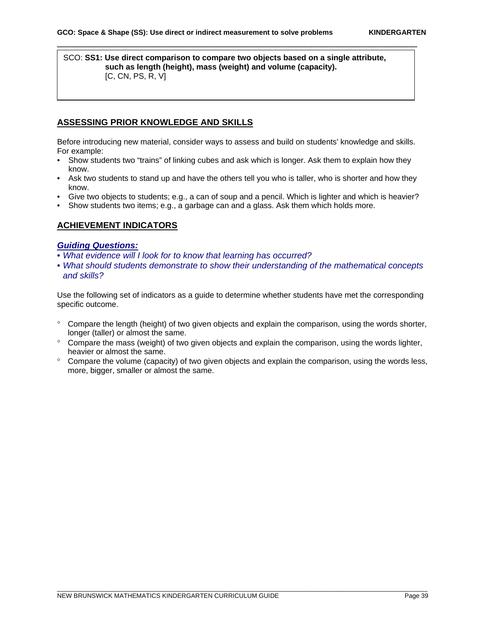#### SCO: **SS1: Use direct comparison to compare two objects based on a single attribute, such as length (height), mass (weight) and volume (capacity).** [C, CN, PS, R, V]

\_\_\_\_\_\_\_\_\_\_\_\_\_\_\_\_\_\_\_\_\_\_\_\_\_\_\_\_\_\_\_\_\_\_\_\_\_\_\_\_\_\_\_\_\_\_\_\_\_\_\_\_\_\_\_\_\_\_\_\_\_\_\_\_\_\_\_\_

## **ASSESSING PRIOR KNOWLEDGE AND SKILLS**

Before introducing new material, consider ways to assess and build on students' knowledge and skills. For example:

- Show students two "trains" of linking cubes and ask which is longer. Ask them to explain how they know.
- Ask two students to stand up and have the others tell you who is taller, who is shorter and how they know.
- Give two objects to students; e.g., a can of soup and a pencil. Which is lighter and which is heavier?
- Show students two items; e.g., a garbage can and a glass. Ask them which holds more.

## **ACHIEVEMENT INDICATORS**

#### *Guiding Questions:*

- *What evidence will I look for to know that learning has occurred?*
- *What should students demonstrate to show their understanding of the mathematical concepts and skills?*

Use the following set of indicators as a guide to determine whether students have met the corresponding specific outcome.

- ° Compare the length (height) of two given objects and explain the comparison, using the words shorter, longer (taller) or almost the same.
- ° Compare the mass (weight) of two given objects and explain the comparison, using the words lighter, heavier or almost the same.
- ° Compare the volume (capacity) of two given objects and explain the comparison, using the words less, more, bigger, smaller or almost the same.

\_\_\_\_\_\_\_\_\_\_\_\_\_\_\_\_\_\_\_\_\_\_\_\_\_\_\_\_\_\_\_\_\_\_\_\_\_\_\_\_\_\_\_\_\_\_\_\_\_\_\_\_\_\_\_\_\_\_\_\_\_\_\_\_\_\_\_\_\_\_\_\_\_\_\_\_\_\_\_\_\_\_\_\_\_\_\_\_\_\_\_\_\_\_\_\_\_\_\_\_\_\_\_\_\_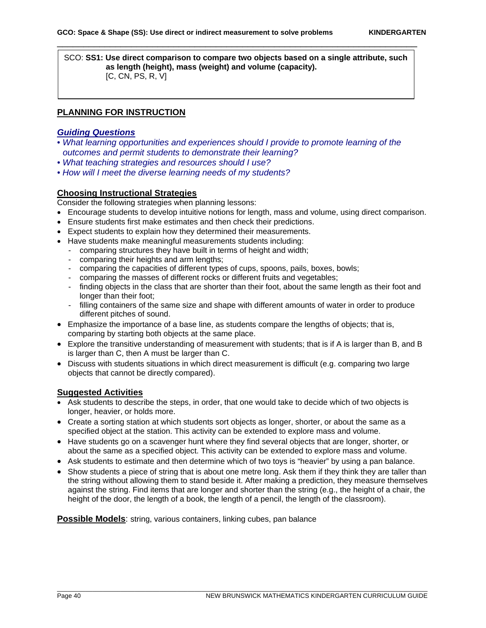SCO: **SS1: Use direct comparison to compare two objects based on a single attribute, such as length (height), mass (weight) and volume (capacity).** [C, CN, PS, R, V]

\_\_\_\_\_\_\_\_\_\_\_\_\_\_\_\_\_\_\_\_\_\_\_\_\_\_\_\_\_\_\_\_\_\_\_\_\_\_\_\_\_\_\_\_\_\_\_\_\_\_\_\_\_\_\_\_\_\_\_\_\_\_\_\_\_\_\_\_

## **PLANNING FOR INSTRUCTION**

# *Guiding Questions*

- *What learning opportunities and experiences should I provide to promote learning of the outcomes and permit students to demonstrate their learning?*
- *What teaching strategies and resources should I use?*
- *How will I meet the diverse learning needs of my students?*

# **Choosing Instructional Strategies**

Consider the following strategies when planning lessons:

- Encourage students to develop intuitive notions for length, mass and volume, using direct comparison.
- Ensure students first make estimates and then check their predictions.
- Expect students to explain how they determined their measurements.
- Have students make meaningful measurements students including:
	- comparing structures they have built in terms of height and width;
	- comparing their heights and arm lengths;
	- comparing the capacities of different types of cups, spoons, pails, boxes, bowls;
	- comparing the masses of different rocks or different fruits and vegetables;
	- finding objects in the class that are shorter than their foot, about the same length as their foot and longer than their foot;
	- filling containers of the same size and shape with different amounts of water in order to produce different pitches of sound.
- Emphasize the importance of a base line, as students compare the lengths of objects; that is, comparing by starting both objects at the same place.
- Explore the transitive understanding of measurement with students; that is if A is larger than B, and B is larger than C, then A must be larger than C.
- Discuss with students situations in which direct measurement is difficult (e.g. comparing two large objects that cannot be directly compared).

#### **Suggested Activities**

- Ask students to describe the steps, in order, that one would take to decide which of two objects is longer, heavier, or holds more.
- Create a sorting station at which students sort objects as longer, shorter, or about the same as a specified object at the station. This activity can be extended to explore mass and volume.
- Have students go on a scavenger hunt where they find several objects that are longer, shorter, or about the same as a specified object. This activity can be extended to explore mass and volume.
- Ask students to estimate and then determine which of two toys is "heavier" by using a pan balance.
- Show students a piece of string that is about one metre long. Ask them if they think they are taller than the string without allowing them to stand beside it. After making a prediction, they measure themselves against the string. Find items that are longer and shorter than the string (e.g., the height of a chair, the height of the door, the length of a book, the length of a pencil, the length of the classroom).

\_\_\_\_\_\_\_\_\_\_\_\_\_\_\_\_\_\_\_\_\_\_\_\_\_\_\_\_\_\_\_\_\_\_\_\_\_\_\_\_\_\_\_\_\_\_\_\_\_\_\_\_\_\_\_\_\_\_\_\_\_\_\_\_\_\_\_\_\_\_\_\_\_\_\_\_\_\_\_\_\_\_\_\_\_\_\_\_\_\_\_\_\_\_\_\_\_\_\_\_\_\_\_\_\_

**Possible Models:** string, various containers, linking cubes, pan balance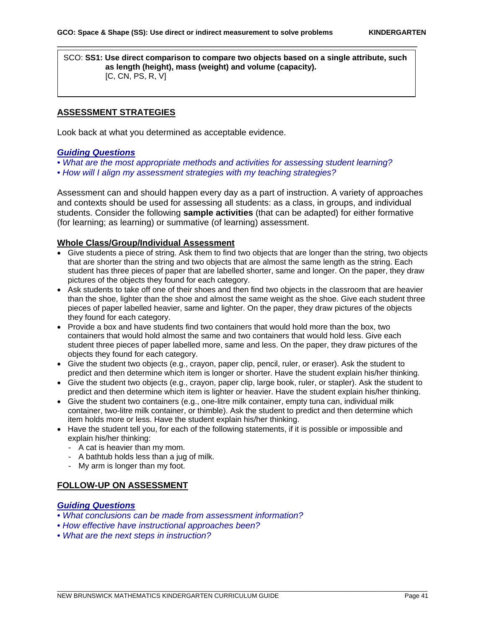SCO: **SS1: Use direct comparison to compare two objects based on a single attribute, such as length (height), mass (weight) and volume (capacity).** [C, CN, PS, R, V]

\_\_\_\_\_\_\_\_\_\_\_\_\_\_\_\_\_\_\_\_\_\_\_\_\_\_\_\_\_\_\_\_\_\_\_\_\_\_\_\_\_\_\_\_\_\_\_\_\_\_\_\_\_\_\_\_\_\_\_\_\_\_\_\_\_\_\_\_

#### **ASSESSMENT STRATEGIES**

Look back at what you determined as acceptable evidence.

#### *Guiding Questions*

- *What are the most appropriate methods and activities for assessing student learning?*
- *How will I align my assessment strategies with my teaching strategies?*

Assessment can and should happen every day as a part of instruction. A variety of approaches and contexts should be used for assessing all students: as a class, in groups, and individual students. Consider the following **sample activities** (that can be adapted) for either formative (for learning; as learning) or summative (of learning) assessment.

#### **Whole Class/Group/Individual Assessment**

- Give students a piece of string. Ask them to find two objects that are longer than the string, two objects that are shorter than the string and two objects that are almost the same length as the string. Each student has three pieces of paper that are labelled shorter, same and longer. On the paper, they draw pictures of the objects they found for each category.
- Ask students to take off one of their shoes and then find two objects in the classroom that are heavier than the shoe, lighter than the shoe and almost the same weight as the shoe. Give each student three pieces of paper labelled heavier, same and lighter. On the paper, they draw pictures of the objects they found for each category.
- Provide a box and have students find two containers that would hold more than the box, two containers that would hold almost the same and two containers that would hold less. Give each student three pieces of paper labelled more, same and less. On the paper, they draw pictures of the objects they found for each category.
- Give the student two objects (e.g., crayon, paper clip, pencil, ruler, or eraser). Ask the student to predict and then determine which item is longer or shorter. Have the student explain his/her thinking.
- Give the student two objects (e.g., crayon, paper clip, large book, ruler, or stapler). Ask the student to predict and then determine which item is lighter or heavier. Have the student explain his/her thinking.
- Give the student two containers (e.g., one-litre milk container, empty tuna can, individual milk container, two-litre milk container, or thimble). Ask the student to predict and then determine which item holds more or less. Have the student explain his/her thinking.

\_\_\_\_\_\_\_\_\_\_\_\_\_\_\_\_\_\_\_\_\_\_\_\_\_\_\_\_\_\_\_\_\_\_\_\_\_\_\_\_\_\_\_\_\_\_\_\_\_\_\_\_\_\_\_\_\_\_\_\_\_\_\_\_\_\_\_\_\_\_\_\_\_\_\_\_\_\_\_\_\_\_\_\_\_\_\_\_\_\_\_\_\_\_\_\_\_\_\_\_\_\_\_\_\_

- Have the student tell you, for each of the following statements, if it is possible or impossible and explain his/her thinking:
	- A cat is heavier than my mom.
	- A bathtub holds less than a jug of milk.
	- My arm is longer than my foot.

#### **FOLLOW-UP ON ASSESSMENT**

## *Guiding Questions*

- *What conclusions can be made from assessment information?*
- *How effective have instructional approaches been?*
- *What are the next steps in instruction?*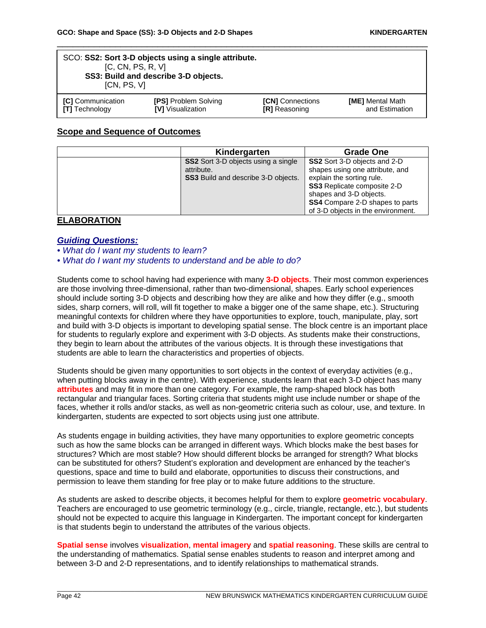| SCO: SS2: Sort 3-D objects using a single attribute.<br>[C, CN, PS, R, V]<br>SS3: Build and describe 3-D objects.<br>[CN, PS, V] |                             |                         |                         |
|----------------------------------------------------------------------------------------------------------------------------------|-----------------------------|-------------------------|-------------------------|
| [C] Communication                                                                                                                | <b>[PS] Problem Solving</b> | <b>[CN]</b> Connections | <b>[ME]</b> Mental Math |
| <b>[T]</b> Technology                                                                                                            | <b>IVI</b> Visualization    | <b>IRI</b> Reasoning    | and Estimation          |

## **Scope and Sequence of Outcomes**

| Kindergarten                                                                                           | <b>Grade One</b>                                                                                                                                                                                                                                     |
|--------------------------------------------------------------------------------------------------------|------------------------------------------------------------------------------------------------------------------------------------------------------------------------------------------------------------------------------------------------------|
| <b>SS2</b> Sort 3-D objects using a single<br>attribute.<br><b>SS3</b> Build and describe 3-D objects. | <b>SS2</b> Sort 3-D objects and 2-D<br>shapes using one attribute, and<br>explain the sorting rule.<br><b>SS3</b> Replicate composite 2-D<br>shapes and 3-D objects.<br><b>SS4</b> Compare 2-D shapes to parts<br>of 3-D objects in the environment. |

# **ELABORATION**

#### *Guiding Questions:*

*• What do I want my students to learn?* 

*• What do I want my students to understand and be able to do?*

Students come to school having had experience with many **3-D objects**. Their most common experiences are those involving three-dimensional, rather than two-dimensional, shapes. Early school experiences should include sorting 3-D objects and describing how they are alike and how they differ (e.g., smooth sides, sharp corners, will roll, will fit together to make a bigger one of the same shape, etc.). Structuring meaningful contexts for children where they have opportunities to explore, touch, manipulate, play, sort and build with 3-D objects is important to developing spatial sense. The block centre is an important place for students to regularly explore and experiment with 3-D objects. As students make their constructions, they begin to learn about the attributes of the various objects. It is through these investigations that students are able to learn the characteristics and properties of objects.

Students should be given many opportunities to sort objects in the context of everyday activities (e.g., when putting blocks away in the centre). With experience, students learn that each 3-D object has many **attributes** and may fit in more than one category. For example, the ramp-shaped block has both rectangular and triangular faces. Sorting criteria that students might use include number or shape of the faces, whether it rolls and/or stacks, as well as non-geometric criteria such as colour, use, and texture. In kindergarten, students are expected to sort objects using just one attribute.

As students engage in building activities, they have many opportunities to explore geometric concepts such as how the same blocks can be arranged in different ways. Which blocks make the best bases for structures? Which are most stable? How should different blocks be arranged for strength? What blocks can be substituted for others? Student's exploration and development are enhanced by the teacher's questions, space and time to build and elaborate, opportunities to discuss their constructions, and permission to leave them standing for free play or to make future additions to the structure.

As students are asked to describe objects, it becomes helpful for them to explore **geometric vocabulary**. Teachers are encouraged to use geometric terminology (e.g., circle, triangle, rectangle, etc.), but students should not be expected to acquire this language in Kindergarten. The important concept for kindergarten is that students begin to understand the attributes of the various objects.

**Spatial sense** involves **visualization**, **mental imagery** and **spatial reasoning**. These skills are central to the understanding of mathematics. Spatial sense enables students to reason and interpret among and between 3-D and 2-D representations, and to identify relationships to mathematical strands.

\_\_\_\_\_\_\_\_\_\_\_\_\_\_\_\_\_\_\_\_\_\_\_\_\_\_\_\_\_\_\_\_\_\_\_\_\_\_\_\_\_\_\_\_\_\_\_\_\_\_\_\_\_\_\_\_\_\_\_\_\_\_\_\_\_\_\_\_\_\_\_\_\_\_\_\_\_\_\_\_\_\_\_\_\_\_\_\_\_\_\_\_\_\_\_\_\_\_\_\_\_\_\_\_\_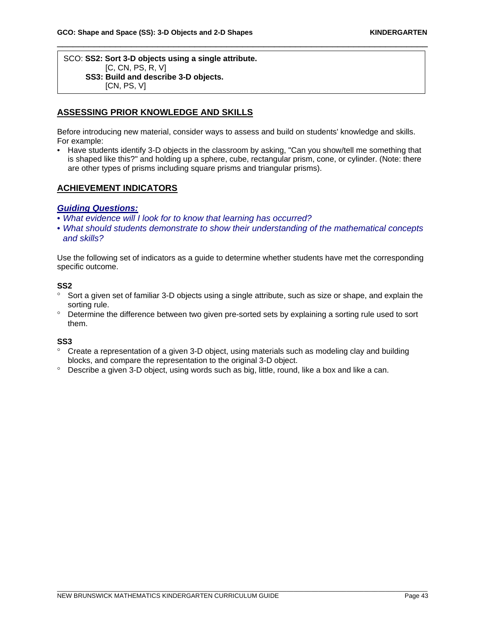#### SCO: **SS2: Sort 3-D objects using a single attribute.** [C, CN, PS, R, V]  **SS3: Build and describe 3-D objects.** [CN, PS, V]

#### **ASSESSING PRIOR KNOWLEDGE AND SKILLS**

Before introducing new material, consider ways to assess and build on students' knowledge and skills. For example:

\_\_\_\_\_\_\_\_\_\_\_\_\_\_\_\_\_\_\_\_\_\_\_\_\_\_\_\_\_\_\_\_\_\_\_\_\_\_\_\_\_\_\_\_\_\_\_\_\_\_\_\_\_\_\_\_\_\_\_\_\_\_\_\_\_\_\_\_\_\_

• Have students identify 3-D objects in the classroom by asking, "Can you show/tell me something that is shaped like this?" and holding up a sphere, cube, rectangular prism, cone, or cylinder. (Note: there are other types of prisms including square prisms and triangular prisms).

#### **ACHIEVEMENT INDICATORS**

#### *Guiding Questions:*

- *What evidence will I look for to know that learning has occurred?*
- *What should students demonstrate to show their understanding of the mathematical concepts and skills?*

Use the following set of indicators as a guide to determine whether students have met the corresponding specific outcome.

#### **SS2**

- ° Sort a given set of familiar 3-D objects using a single attribute, such as size or shape, and explain the sorting rule.
- ° Determine the difference between two given pre-sorted sets by explaining a sorting rule used to sort them.

#### **SS3**

° Create a representation of a given 3-D object, using materials such as modeling clay and building blocks, and compare the representation to the original 3-D object.

\_\_\_\_\_\_\_\_\_\_\_\_\_\_\_\_\_\_\_\_\_\_\_\_\_\_\_\_\_\_\_\_\_\_\_\_\_\_\_\_\_\_\_\_\_\_\_\_\_\_\_\_\_\_\_\_\_\_\_\_\_\_\_\_\_\_\_\_\_\_\_\_\_\_\_\_\_\_\_\_\_\_\_\_\_\_\_\_\_\_\_\_\_\_\_\_\_\_\_\_\_\_\_\_\_

° Describe a given 3-D object, using words such as big, little, round, like a box and like a can.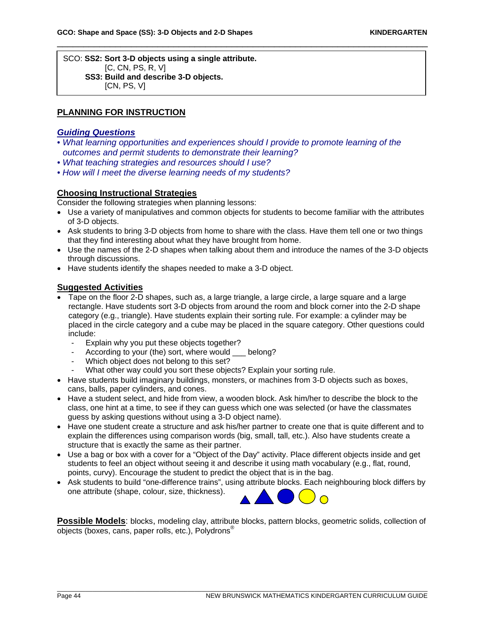SCO: **SS2: Sort 3-D objects using a single attribute.** [C, CN, PS, R, V]  **SS3: Build and describe 3-D objects.**  $[CN, PS, V]$ 

## **PLANNING FOR INSTRUCTION**

#### *Guiding Questions*

• *What learning opportunities and experiences should I provide to promote learning of the outcomes and permit students to demonstrate their learning?* 

\_\_\_\_\_\_\_\_\_\_\_\_\_\_\_\_\_\_\_\_\_\_\_\_\_\_\_\_\_\_\_\_\_\_\_\_\_\_\_\_\_\_\_\_\_\_\_\_\_\_\_\_\_\_\_\_\_\_\_\_\_\_\_\_\_\_\_\_\_\_

- *What teaching strategies and resources should I use?*
- *How will I meet the diverse learning needs of my students?*

## **Choosing Instructional Strategies**

Consider the following strategies when planning lessons:

- Use a variety of manipulatives and common objects for students to become familiar with the attributes of 3-D objects.
- Ask students to bring 3-D objects from home to share with the class. Have them tell one or two things that they find interesting about what they have brought from home.
- Use the names of the 2-D shapes when talking about them and introduce the names of the 3-D objects through discussions.
- Have students identify the shapes needed to make a 3-D object.

#### **Suggested Activities**

- Tape on the floor 2-D shapes, such as, a large triangle, a large circle, a large square and a large rectangle. Have students sort 3-D objects from around the room and block corner into the 2-D shape category (e.g., triangle). Have students explain their sorting rule. For example: a cylinder may be placed in the circle category and a cube may be placed in the square category. Other questions could include:
	- Explain why you put these objects together?
	- According to your (the) sort, where would \_\_\_ belong?
	- Which object does not belong to this set?
	- What other way could you sort these objects? Explain your sorting rule.
- Have students build imaginary buildings, monsters, or machines from 3-D objects such as boxes, cans, balls, paper cylinders, and cones.
- Have a student select, and hide from view, a wooden block. Ask him/her to describe the block to the class, one hint at a time, to see if they can guess which one was selected (or have the classmates guess by asking questions without using a 3-D object name).
- Have one student create a structure and ask his/her partner to create one that is quite different and to explain the differences using comparison words (big, small, tall, etc.). Also have students create a structure that is exactly the same as their partner.
- Use a bag or box with a cover for a "Object of the Day" activity. Place different objects inside and get students to feel an object without seeing it and describe it using math vocabulary (e.g., flat, round, points, curvy). Encourage the student to predict the object that is in the bag.
- Ask students to build "one-difference trains", using attribute blocks. Each neighbouring block differs by one attribute (shape, colour, size, thickness).



**Possible Models**: blocks, modeling clay, attribute blocks, pattern blocks, geometric solids, collection of objects (boxes, cans, paper rolls, etc.), Polydrons®

\_\_\_\_\_\_\_\_\_\_\_\_\_\_\_\_\_\_\_\_\_\_\_\_\_\_\_\_\_\_\_\_\_\_\_\_\_\_\_\_\_\_\_\_\_\_\_\_\_\_\_\_\_\_\_\_\_\_\_\_\_\_\_\_\_\_\_\_\_\_\_\_\_\_\_\_\_\_\_\_\_\_\_\_\_\_\_\_\_\_\_\_\_\_\_\_\_\_\_\_\_\_\_\_\_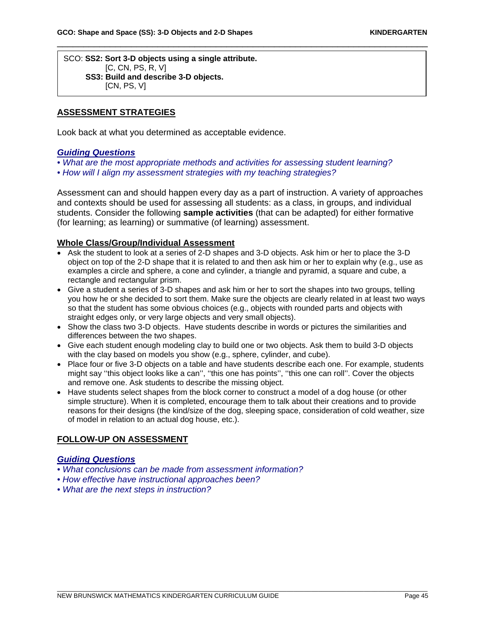SCO: **SS2: Sort 3-D objects using a single attribute.** [C, CN, PS, R, V]  **SS3: Build and describe 3-D objects.**  $[CN, PS, V]$ 

#### **ASSESSMENT STRATEGIES**

Look back at what you determined as acceptable evidence.

#### *Guiding Questions*

- *What are the most appropriate methods and activities for assessing student learning?*
- *How will I align my assessment strategies with my teaching strategies?*

Assessment can and should happen every day as a part of instruction. A variety of approaches and contexts should be used for assessing all students: as a class, in groups, and individual students. Consider the following **sample activities** (that can be adapted) for either formative (for learning; as learning) or summative (of learning) assessment.

\_\_\_\_\_\_\_\_\_\_\_\_\_\_\_\_\_\_\_\_\_\_\_\_\_\_\_\_\_\_\_\_\_\_\_\_\_\_\_\_\_\_\_\_\_\_\_\_\_\_\_\_\_\_\_\_\_\_\_\_\_\_\_\_\_\_\_\_\_\_

#### **Whole Class/Group/Individual Assessment**

- Ask the student to look at a series of 2-D shapes and 3-D objects. Ask him or her to place the 3-D object on top of the 2-D shape that it is related to and then ask him or her to explain why (e.g., use as examples a circle and sphere, a cone and cylinder, a triangle and pyramid, a square and cube, a rectangle and rectangular prism.
- Give a student a series of 3-D shapes and ask him or her to sort the shapes into two groups, telling you how he or she decided to sort them. Make sure the objects are clearly related in at least two ways so that the student has some obvious choices (e.g., objects with rounded parts and objects with straight edges only, or very large objects and very small objects).
- Show the class two 3-D objects. Have students describe in words or pictures the similarities and differences between the two shapes.
- Give each student enough modeling clay to build one or two objects. Ask them to build 3-D objects with the clay based on models you show (e.g., sphere, cylinder, and cube).
- Place four or five 3-D objects on a table and have students describe each one. For example, students might say ''this object looks like a can'', ''this one has points'', ''this one can roll''. Cover the objects and remove one. Ask students to describe the missing object.
- Have students select shapes from the block corner to construct a model of a dog house (or other simple structure). When it is completed, encourage them to talk about their creations and to provide reasons for their designs (the kind/size of the dog, sleeping space, consideration of cold weather, size of model in relation to an actual dog house, etc.).

\_\_\_\_\_\_\_\_\_\_\_\_\_\_\_\_\_\_\_\_\_\_\_\_\_\_\_\_\_\_\_\_\_\_\_\_\_\_\_\_\_\_\_\_\_\_\_\_\_\_\_\_\_\_\_\_\_\_\_\_\_\_\_\_\_\_\_\_\_\_\_\_\_\_\_\_\_\_\_\_\_\_\_\_\_\_\_\_\_\_\_\_\_\_\_\_\_\_\_\_\_\_\_\_\_

#### **FOLLOW-UP ON ASSESSMENT**

#### *Guiding Questions*

- *What conclusions can be made from assessment information?*
- *How effective have instructional approaches been?*
- *What are the next steps in instruction?*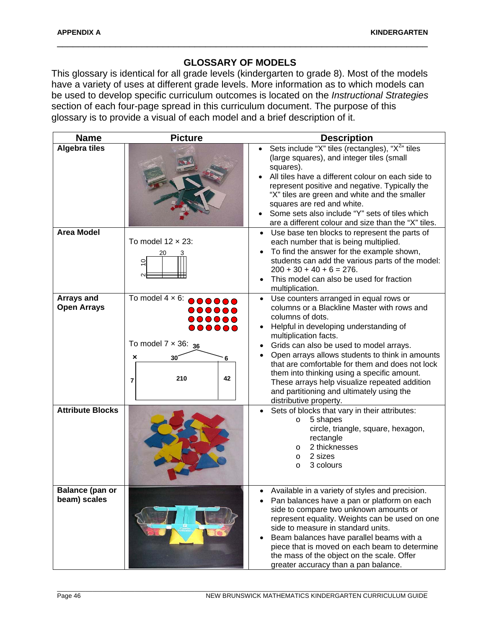# **GLOSSARY OF MODELS**

\_\_\_\_\_\_\_\_\_\_\_\_\_\_\_\_\_\_\_\_\_\_\_\_\_\_\_\_\_\_\_\_\_\_\_\_\_\_\_\_\_\_\_\_\_\_\_\_\_\_\_\_\_\_\_\_\_\_\_\_\_\_\_\_\_\_\_\_\_\_

This glossary is identical for all grade levels (kindergarten to grade 8). Most of the models have a variety of uses at different grade levels. More information as to which models can be used to develop specific curriculum outcomes is located on the *Instructional Strategies* section of each four-page spread in this curriculum document. The purpose of this glossary is to provide a visual of each model and a brief description of it.

| <b>Name</b>                            | <b>Picture</b>                                                                                                                                                                                                     | <b>Description</b>                                                                                                                                                                                                                                                                                                                                                                                                                                                                                                |
|----------------------------------------|--------------------------------------------------------------------------------------------------------------------------------------------------------------------------------------------------------------------|-------------------------------------------------------------------------------------------------------------------------------------------------------------------------------------------------------------------------------------------------------------------------------------------------------------------------------------------------------------------------------------------------------------------------------------------------------------------------------------------------------------------|
| <b>Algebra tiles</b>                   |                                                                                                                                                                                                                    | Sets include "X" tiles (rectangles), "X <sup>2</sup> " tiles<br>(large squares), and integer tiles (small<br>squares).<br>All tiles have a different colour on each side to<br>represent positive and negative. Typically the<br>"X" tiles are green and white and the smaller<br>squares are red and white.<br>Some sets also include "Y" sets of tiles which<br>are a different colour and size than the "X" tiles.                                                                                             |
| <b>Area Model</b>                      | To model $12 \times 23$ :<br>٥,                                                                                                                                                                                    | Use base ten blocks to represent the parts of<br>$\bullet$<br>each number that is being multiplied.<br>To find the answer for the example shown,<br>$\bullet$<br>students can add the various parts of the model:<br>$200 + 30 + 40 + 6 = 276.$<br>This model can also be used for fraction<br>$\bullet$<br>multiplication.                                                                                                                                                                                       |
| Arrays and<br><b>Open Arrays</b>       | To model $4 \times 6$ : $\bullet \bullet \bullet \bullet \bullet$<br>$\bullet\bullet\bullet\bullet\bullet\bullet$<br><br>000000<br>To model $7 \times 36$ : $_{36}$<br>30 <sup>′</sup><br>×<br>6<br>210<br>42<br>7 | Use counters arranged in equal rows or<br>$\bullet$<br>columns or a Blackline Master with rows and<br>columns of dots.<br>Helpful in developing understanding of<br>multiplication facts.<br>Grids can also be used to model arrays.<br>Open arrays allows students to think in amounts<br>that are comfortable for them and does not lock<br>them into thinking using a specific amount.<br>These arrays help visualize repeated addition<br>and partitioning and ultimately using the<br>distributive property. |
| <b>Attribute Blocks</b>                |                                                                                                                                                                                                                    | Sets of blocks that vary in their attributes:<br>5 shapes<br>$\circ$<br>circle, triangle, square, hexagon,<br>rectangle<br>2 thicknesses<br>O<br>2 sizes<br>O<br>3 colours<br>O                                                                                                                                                                                                                                                                                                                                   |
| <b>Balance (pan or</b><br>beam) scales |                                                                                                                                                                                                                    | Available in a variety of styles and precision.<br>$\bullet$<br>Pan balances have a pan or platform on each<br>side to compare two unknown amounts or<br>represent equality. Weights can be used on one<br>side to measure in standard units.<br>Beam balances have parallel beams with a<br>$\bullet$<br>piece that is moved on each beam to determine<br>the mass of the object on the scale. Offer<br>greater accuracy than a pan balance.                                                                     |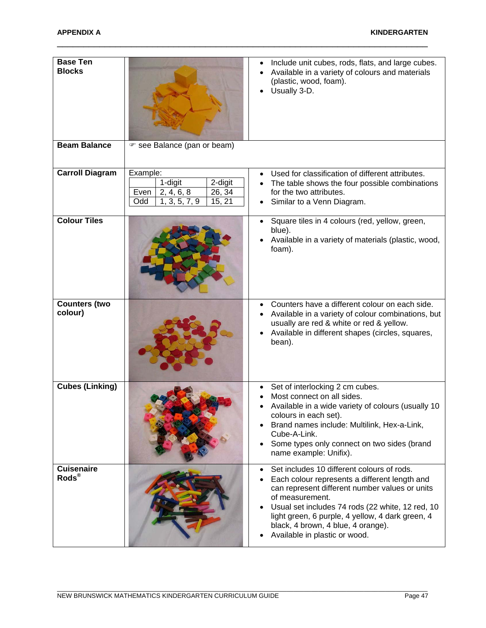| <b>Base Ten</b><br><b>Blocks</b> |                                                                                                  | Include unit cubes, rods, flats, and large cubes.<br>Available in a variety of colours and materials<br>(plastic, wood, foam).<br>Usually 3-D.                                                                                                                                                                                                               |
|----------------------------------|--------------------------------------------------------------------------------------------------|--------------------------------------------------------------------------------------------------------------------------------------------------------------------------------------------------------------------------------------------------------------------------------------------------------------------------------------------------------------|
| <b>Beam Balance</b>              | ☞ see Balance (pan or beam)                                                                      |                                                                                                                                                                                                                                                                                                                                                              |
| <b>Carroll Diagram</b>           | Example:<br>1-digit<br>2-digit<br>26, 34<br>2, 4, 6, 8<br>Even<br>1, 3, 5, 7, 9<br>15, 21<br>Odd | Used for classification of different attributes.<br>The table shows the four possible combinations<br>for the two attributes.<br>Similar to a Venn Diagram.                                                                                                                                                                                                  |
| <b>Colour Tiles</b>              |                                                                                                  | Square tiles in 4 colours (red, yellow, green,<br>blue).<br>Available in a variety of materials (plastic, wood,<br>foam).                                                                                                                                                                                                                                    |
| <b>Counters (two</b><br>colour)  |                                                                                                  | Counters have a different colour on each side.<br>$\bullet$<br>Available in a variety of colour combinations, but<br>usually are red & white or red & yellow.<br>Available in different shapes (circles, squares,<br>bean).                                                                                                                                  |
| <b>Cubes (Linking)</b>           |                                                                                                  | Set of interlocking 2 cm cubes.<br>Most connect on all sides.<br>Available in a wide variety of colours (usually 10<br>colours in each set).<br>Brand names include: Multilink, Hex-a-Link,<br>Cube-A-Link.<br>Some types only connect on two sides (brand<br>name example: Unifix).                                                                         |
| <b>Cuisenaire</b><br>Rods®       |                                                                                                  | Set includes 10 different colours of rods.<br>$\bullet$<br>Each colour represents a different length and<br>can represent different number values or units<br>of measurement.<br>Usual set includes 74 rods (22 white, 12 red, 10<br>light green, 6 purple, 4 yellow, 4 dark green, 4<br>black, 4 brown, 4 blue, 4 orange).<br>Available in plastic or wood. |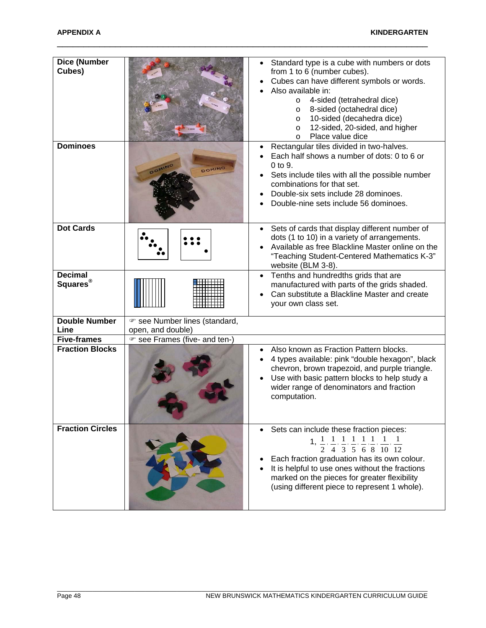| Dice (Number<br>Cubes)                 |                                                    | Standard type is a cube with numbers or dots<br>from 1 to 6 (number cubes).<br>Cubes can have different symbols or words.<br>Also available in:<br>4-sided (tetrahedral dice)<br>$\circ$<br>8-sided (octahedral dice)<br>$\circ$<br>10-sided (decahedra dice)<br>O<br>12-sided, 20-sided, and higher<br>O<br>Place value dice<br>$\circ$                                          |
|----------------------------------------|----------------------------------------------------|-----------------------------------------------------------------------------------------------------------------------------------------------------------------------------------------------------------------------------------------------------------------------------------------------------------------------------------------------------------------------------------|
| <b>Dominoes</b>                        | DOMIN<br>DOMINO                                    | Rectangular tiles divided in two-halves.<br>Each half shows a number of dots: 0 to 6 or<br>0 to 9.<br>Sets include tiles with all the possible number<br>combinations for that set.<br>Double-six sets include 28 dominoes.<br>Double-nine sets include 56 dominoes.                                                                                                              |
| <b>Dot Cards</b>                       |                                                    | Sets of cards that display different number of<br>dots (1 to 10) in a variety of arrangements.<br>Available as free Blackline Master online on the<br>"Teaching Student-Centered Mathematics K-3"<br>website (BLM 3-8).                                                                                                                                                           |
| <b>Decimal</b><br>Squares <sup>®</sup> |                                                    | Tenths and hundredths grids that are<br>manufactured with parts of the grids shaded.<br>Can substitute a Blackline Master and create<br>your own class set.                                                                                                                                                                                                                       |
| <b>Double Number</b><br>Line           | ☞ see Number lines (standard,<br>open, and double) |                                                                                                                                                                                                                                                                                                                                                                                   |
| <b>Five-frames</b>                     | ☞ see Frames (five- and ten-)                      |                                                                                                                                                                                                                                                                                                                                                                                   |
| <b>Fraction Blocks</b>                 |                                                    | Also known as Fraction Pattern blocks.<br>4 types available: pink "double hexagon", black<br>chevron, brown trapezoid, and purple triangle.<br>Use with basic pattern blocks to help study a<br>wider range of denominators and fraction<br>computation.                                                                                                                          |
| <b>Fraction Circles</b>                |                                                    | Sets can include these fraction pieces:<br>1, $\frac{1}{2}$ , $\frac{1}{4}$ , $\frac{1}{3}$ , $\frac{1}{5}$ , $\frac{1}{6}$ , $\frac{1}{8}$ , $\frac{1}{10}$ , $\frac{1}{12}$<br>Each fraction graduation has its own colour.<br>It is helpful to use ones without the fractions<br>marked on the pieces for greater flexibility<br>(using different piece to represent 1 whole). |

\_\_\_\_\_\_\_\_\_\_\_\_\_\_\_\_\_\_\_\_\_\_\_\_\_\_\_\_\_\_\_\_\_\_\_\_\_\_\_\_\_\_\_\_\_\_\_\_\_\_\_\_\_\_\_\_\_\_\_\_\_\_\_\_\_\_\_\_\_\_\_\_\_\_\_\_\_\_\_\_\_\_\_\_\_\_\_\_\_\_\_\_\_\_\_\_\_\_\_\_\_\_\_\_\_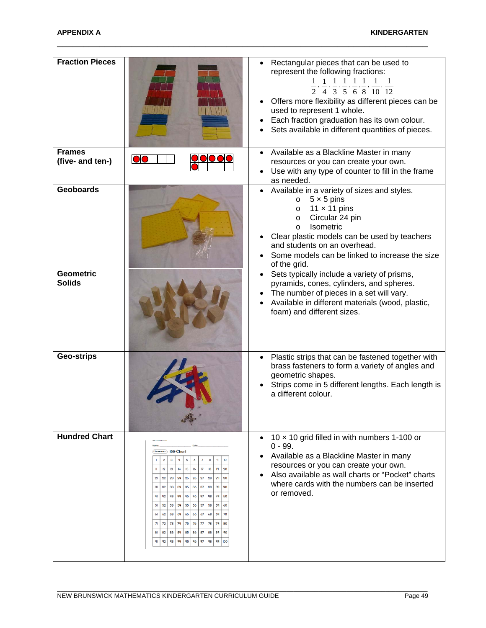| <b>Fraction Pieces</b>            |                                                                                                                                                                                                                                                                                                                                                                                                                                                                                                                                                                                                                                                                                               | Rectangular pieces that can be used to<br>represent the following fractions:<br>$\frac{1}{2}$ , $\frac{1}{4}$ , $\frac{1}{3}$ , $\frac{1}{5}$ , $\frac{1}{6}$ , $\frac{1}{8}$ , $\frac{1}{10}$ , $\frac{1}{12}$<br>Offers more flexibility as different pieces can be<br>used to represent 1 whole.<br>Each fraction graduation has its own colour.<br>Sets available in different quantities of pieces. |
|-----------------------------------|-----------------------------------------------------------------------------------------------------------------------------------------------------------------------------------------------------------------------------------------------------------------------------------------------------------------------------------------------------------------------------------------------------------------------------------------------------------------------------------------------------------------------------------------------------------------------------------------------------------------------------------------------------------------------------------------------|----------------------------------------------------------------------------------------------------------------------------------------------------------------------------------------------------------------------------------------------------------------------------------------------------------------------------------------------------------------------------------------------------------|
| <b>Frames</b><br>(five- and ten-) |                                                                                                                                                                                                                                                                                                                                                                                                                                                                                                                                                                                                                                                                                               | Available as a Blackline Master in many<br>$\bullet$<br>resources or you can create your own.<br>Use with any type of counter to fill in the frame<br>as needed.                                                                                                                                                                                                                                         |
| <b>Geoboards</b>                  |                                                                                                                                                                                                                                                                                                                                                                                                                                                                                                                                                                                                                                                                                               | Available in a variety of sizes and styles.<br>$5 \times 5$ pins<br>$\circ$<br>11 $\times$ 11 pins<br>$\circ$<br>Circular 24 pin<br>$\circ$<br>Isometric<br>$\circ$<br>Clear plastic models can be used by teachers<br>and students on an overhead.<br>Some models can be linked to increase the size<br>of the grid.                                                                                    |
| <b>Geometric</b><br><b>Solids</b> |                                                                                                                                                                                                                                                                                                                                                                                                                                                                                                                                                                                                                                                                                               | Sets typically include a variety of prisms,<br>$\bullet$<br>pyramids, cones, cylinders, and spheres.<br>The number of pieces in a set will vary.<br>Available in different materials (wood, plastic,<br>foam) and different sizes.                                                                                                                                                                       |
| <b>Geo-strips</b>                 |                                                                                                                                                                                                                                                                                                                                                                                                                                                                                                                                                                                                                                                                                               | Plastic strips that can be fastened together with<br>$\bullet$<br>brass fasteners to form a variety of angles and<br>geometric shapes.<br>Strips come in 5 different lengths. Each length is<br>a different colour.                                                                                                                                                                                      |
| <b>Hundred Chart</b>              | Line Moster 2) 100-Chart<br>$\mathbf{3}$<br>4<br>5<br>$\overline{7}$<br>$\overline{\mathbf{2}}$<br>6<br> 3<br>$\mu$<br>15<br>16<br>$\mathbf{r}$<br>18<br>12<br> q <br>20<br>23<br>24<br>25<br>26<br>21<br>22<br>27<br>28<br>2 <sup>q</sup><br>33<br>34<br>35<br>36<br>37<br>38<br>39<br>3 <sub>l</sub><br>32<br>47<br>43<br>44<br>45<br>ųя<br><b>ug</b><br>4<br>42<br>46<br>55<br>57<br>52<br>53<br>54<br>56<br>58<br>59<br>51<br>63<br>64<br>65<br>66<br>67<br>68<br>69<br>61<br>62<br>70<br>75<br>72<br>73<br>74<br>76<br>77<br>78<br>79<br>71<br>80<br>84<br>85<br>87<br>81<br>82<br>83<br>86<br>88<br>89<br>90<br>q <sub>2</sub><br>93<br>94<br>95<br>96<br>97<br>98<br>$q\bar{q}$<br>100 | 10 $\times$ 10 grid filled in with numbers 1-100 or<br>$\bullet$<br>$0 - 99.$<br>Available as a Blackline Master in many<br>$\bullet$<br>resources or you can create your own.<br>Also available as wall charts or "Pocket" charts<br>$\bullet$<br>where cards with the numbers can be inserted<br>or removed.                                                                                           |

\_\_\_\_\_\_\_\_\_\_\_\_\_\_\_\_\_\_\_\_\_\_\_\_\_\_\_\_\_\_\_\_\_\_\_\_\_\_\_\_\_\_\_\_\_\_\_\_\_\_\_\_\_\_\_\_\_\_\_\_\_\_\_\_\_\_\_\_\_\_\_\_\_\_\_\_\_\_\_\_\_\_\_\_\_\_\_\_\_\_\_\_\_\_\_\_\_\_\_\_\_\_\_\_\_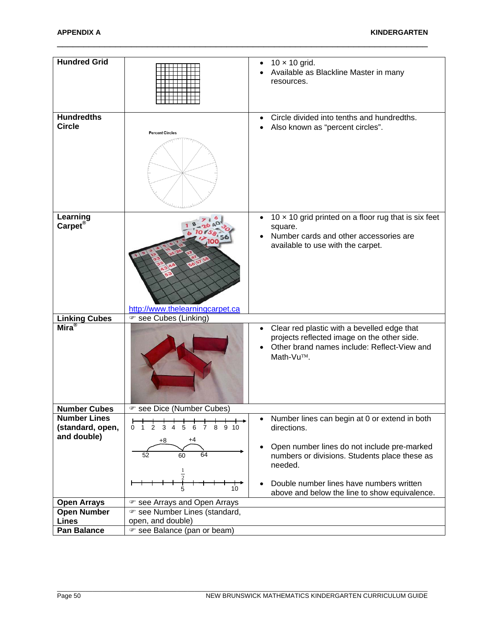| <b>Hundred Grid</b>                                    |                                                                 | $10 \times 10$ grid.<br>Available as Blackline Master in many<br>resources.                                                                                         |
|--------------------------------------------------------|-----------------------------------------------------------------|---------------------------------------------------------------------------------------------------------------------------------------------------------------------|
| <b>Hundredths</b><br><b>Circle</b>                     | <b>Percent Circles</b>                                          | Circle divided into tenths and hundredths.<br>$\bullet$<br>Also known as "percent circles".                                                                         |
| Learning<br>Carpet <sup>®</sup>                        | http://www.thelearningcarpet.ca                                 | 10 $\times$ 10 grid printed on a floor rug that is six feet<br>$\bullet$<br>square.<br>Number cards and other accessories are<br>available to use with the carpet.  |
| <b>Linking Cubes</b>                                   | ☞ see Cubes (Linking)                                           |                                                                                                                                                                     |
| $\overline{\mathsf{Mira}^\circledast}$                 |                                                                 | Clear red plastic with a bevelled edge that<br>$\bullet$<br>projects reflected image on the other side.<br>Other brand names include: Reflect-View and<br>Math-Vu™. |
| <b>Number Cubes</b>                                    | ☞ see Dice (Number Cubes)                                       |                                                                                                                                                                     |
| <b>Number Lines</b><br>(standard, open,<br>and double) | 7 8 9 10<br>2<br>3<br>5<br>6<br>0 <sub>1</sub><br>4<br>+8<br>+4 | Number lines can begin at 0 or extend in both<br>$\bullet$<br>directions.<br>Open number lines do not include pre-marked<br>$\bullet$                               |
|                                                        | 64<br>52<br>60<br>1                                             | numbers or divisions. Students place these as<br>needed.                                                                                                            |
|                                                        | 10 <sup>10</sup>                                                | Double number lines have numbers written<br>above and below the line to show equivalence.                                                                           |
| <b>Open Arrays</b>                                     | ☞ see Arrays and Open Arrays                                    |                                                                                                                                                                     |
| <b>Open Number</b>                                     | ☞ see Number Lines (standard,                                   |                                                                                                                                                                     |
| <b>Lines</b>                                           | open, and double)                                               |                                                                                                                                                                     |
| <b>Pan Balance</b>                                     | ☞ see Balance (pan or beam)                                     |                                                                                                                                                                     |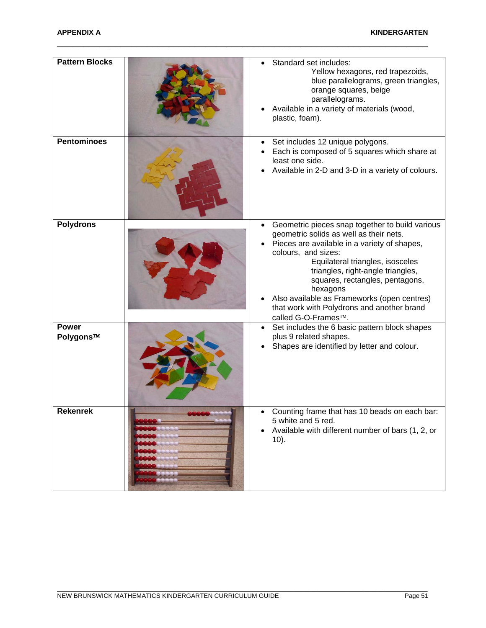| <b>Pattern Blocks</b>     | Standard set includes:<br>Yellow hexagons, red trapezoids,<br>blue parallelograms, green triangles,<br>orange squares, beige<br>parallelograms.<br>Available in a variety of materials (wood,<br>plastic, foam).                                                                                                                                                                                              |
|---------------------------|---------------------------------------------------------------------------------------------------------------------------------------------------------------------------------------------------------------------------------------------------------------------------------------------------------------------------------------------------------------------------------------------------------------|
| <b>Pentominoes</b>        | Set includes 12 unique polygons.<br>Each is composed of 5 squares which share at<br>least one side.<br>Available in 2-D and 3-D in a variety of colours.                                                                                                                                                                                                                                                      |
| <b>Polydrons</b>          | Geometric pieces snap together to build various<br>geometric solids as well as their nets.<br>Pieces are available in a variety of shapes,<br>colours, and sizes:<br>Equilateral triangles, isosceles<br>triangles, right-angle triangles,<br>squares, rectangles, pentagons,<br>hexagons<br>Also available as Frameworks (open centres)<br>that work with Polydrons and another brand<br>called G-O-Frames™. |
| <b>Power</b><br>Polygons™ | Set includes the 6 basic pattern block shapes<br>plus 9 related shapes.<br>Shapes are identified by letter and colour.                                                                                                                                                                                                                                                                                        |
| <b>Rekenrek</b>           | Counting frame that has 10 beads on each bar:<br>5 white and 5 red.<br>Available with different number of bars (1, 2, or<br>$10$ ).                                                                                                                                                                                                                                                                           |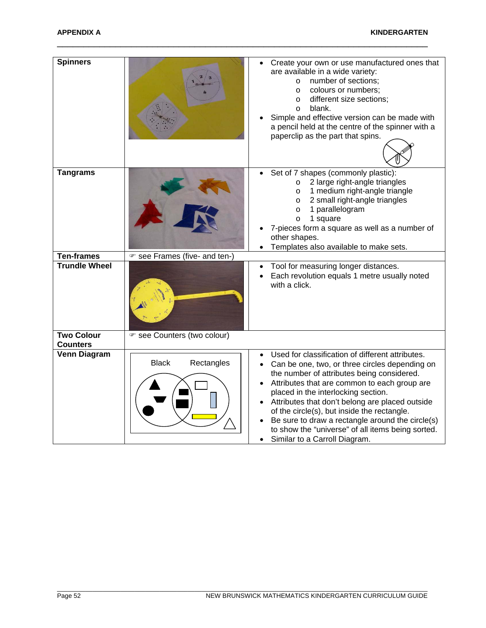| <b>Spinners</b>                      |                               | Create your own or use manufactured ones that<br>are available in a wide variety:<br>number of sections;<br>$\circ$<br>colours or numbers;<br>$\circ$<br>different size sections;<br>$\circ$<br>blank.<br>$\circ$<br>Simple and effective version can be made with<br>a pencil held at the centre of the spinner with a<br>paperclip as the part that spins.                                                                                                                        |
|--------------------------------------|-------------------------------|-------------------------------------------------------------------------------------------------------------------------------------------------------------------------------------------------------------------------------------------------------------------------------------------------------------------------------------------------------------------------------------------------------------------------------------------------------------------------------------|
| <b>Tangrams</b>                      |                               | Set of 7 shapes (commonly plastic):<br>2 large right-angle triangles<br>$\circ$<br>1 medium right-angle triangle<br>$\circ$<br>2 small right-angle triangles<br>$\circ$<br>1 parallelogram<br>$\circ$<br>1 square<br>$\circ$<br>7-pieces form a square as well as a number of<br>other shapes.<br>Templates also available to make sets.                                                                                                                                            |
| <b>Ten-frames</b>                    | ☞ see Frames (five- and ten-) |                                                                                                                                                                                                                                                                                                                                                                                                                                                                                     |
| <b>Trundle Wheel</b>                 |                               | Tool for measuring longer distances.<br>Each revolution equals 1 metre usually noted<br>with a click.                                                                                                                                                                                                                                                                                                                                                                               |
| <b>Two Colour</b><br><b>Counters</b> | ☞ see Counters (two colour)   |                                                                                                                                                                                                                                                                                                                                                                                                                                                                                     |
| <b>Venn Diagram</b>                  | <b>Black</b><br>Rectangles    | Used for classification of different attributes.<br>Can be one, two, or three circles depending on<br>the number of attributes being considered.<br>Attributes that are common to each group are<br>placed in the interlocking section.<br>Attributes that don't belong are placed outside<br>of the circle(s), but inside the rectangle.<br>Be sure to draw a rectangle around the circle(s)<br>to show the "universe" of all items being sorted.<br>Similar to a Carroll Diagram. |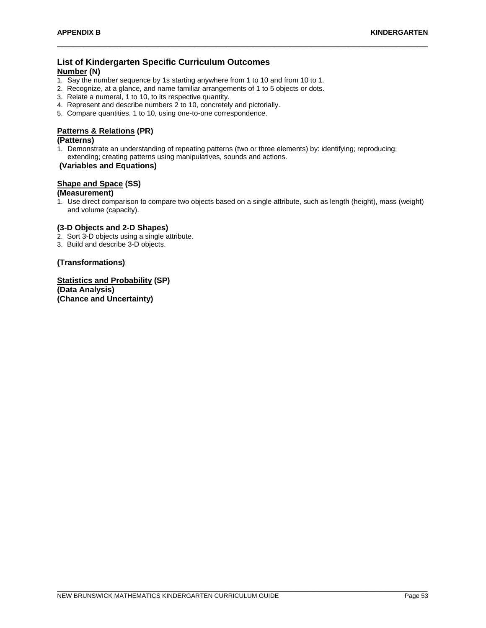# **List of Kindergarten Specific Curriculum Outcomes**

## **Number (N)**

- 1. Say the number sequence by 1s starting anywhere from 1 to 10 and from 10 to 1.
- 2. Recognize, at a glance, and name familiar arrangements of 1 to 5 objects or dots.
- 3. Relate a numeral, 1 to 10, to its respective quantity.
- 4. Represent and describe numbers 2 to 10, concretely and pictorially.
- 5. Compare quantities, 1 to 10, using one-to-one correspondence.

# **Patterns & Relations (PR)**

#### **(Patterns)**

- 1. Demonstrate an understanding of repeating patterns (two or three elements) by: identifying; reproducing;
- extending; creating patterns using manipulatives, sounds and actions.

#### **(Variables and Equations)**

# **Shape and Space (SS)**

# **(Measurement)**

1. Use direct comparison to compare two objects based on a single attribute, such as length (height), mass (weight) and volume (capacity).

\_\_\_\_\_\_\_\_\_\_\_\_\_\_\_\_\_\_\_\_\_\_\_\_\_\_\_\_\_\_\_\_\_\_\_\_\_\_\_\_\_\_\_\_\_\_\_\_\_\_\_\_\_\_\_\_\_\_\_\_\_\_\_\_\_\_\_\_\_\_

#### **(3-D Objects and 2-D Shapes)**

- 2. Sort 3-D objects using a single attribute.
- 3. Build and describe 3-D objects.

#### **(Transformations)**

**Statistics and Probability (SP) (Data Analysis) (Chance and Uncertainty)**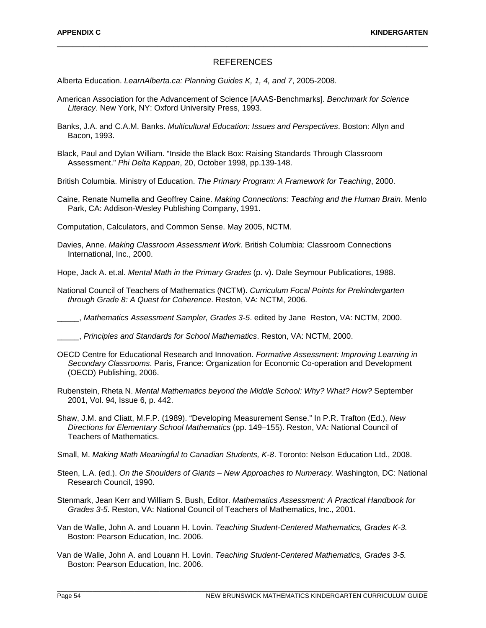#### REFERENCES

\_\_\_\_\_\_\_\_\_\_\_\_\_\_\_\_\_\_\_\_\_\_\_\_\_\_\_\_\_\_\_\_\_\_\_\_\_\_\_\_\_\_\_\_\_\_\_\_\_\_\_\_\_\_\_\_\_\_\_\_\_\_\_\_\_\_\_\_\_\_

Alberta Education. *LearnAlberta.ca: Planning Guides K, 1, 4, and 7*, 2005-2008.

- American Association for the Advancement of Science [AAAS-Benchmarks]. *Benchmark for Science Literacy*. New York, NY: Oxford University Press, 1993.
- Banks, J.A. and C.A.M. Banks. *Multicultural Education: Issues and Perspectives*. Boston: Allyn and Bacon, 1993.
- Black, Paul and Dylan William. "Inside the Black Box: Raising Standards Through Classroom Assessment." *Phi Delta Kappan*, 20, October 1998, pp.139-148.
- British Columbia. Ministry of Education. *The Primary Program: A Framework for Teaching*, 2000.
- Caine, Renate Numella and Geoffrey Caine. *Making Connections: Teaching and the Human Brain*. Menlo Park, CA: Addison-Wesley Publishing Company, 1991.

Computation, Calculators, and Common Sense. May 2005, NCTM.

Davies, Anne. *Making Classroom Assessment Work*. British Columbia: Classroom Connections International, Inc., 2000.

Hope, Jack A. et.al. *Mental Math in the Primary Grades* (p. v). Dale Seymour Publications, 1988.

National Council of Teachers of Mathematics (NCTM). *Curriculum Focal Points for Prekindergarten through Grade 8: A Quest for Coherence*. Reston, VA: NCTM, 2006.

\_\_\_\_\_, *Mathematics Assessment Sampler, Grades 3-5*. edited by Jane Reston, VA: NCTM, 2000.

\_\_\_\_\_, *Principles and Standards for School Mathematics*. Reston, VA: NCTM, 2000.

- OECD Centre for Educational Research and Innovation. *Formative Assessment: Improving Learning in Secondary Classrooms*. Paris, France: Organization for Economic Co-operation and Development (OECD) Publishing, 2006.
- Rubenstein, Rheta N. *Mental Mathematics beyond the Middle School: Why? What? How?* September 2001, Vol. 94, Issue 6, p. 442.
- Shaw, J.M. and Cliatt, M.F.P. (1989). "Developing Measurement Sense." In P.R. Trafton (Ed.), *New Directions for Elementary School Mathematics* (pp. 149–155). Reston, VA: National Council of Teachers of Mathematics.
- Small, M. *Making Math Meaningful to Canadian Students, K-8*. Toronto: Nelson Education Ltd., 2008.
- Steen, L.A. (ed.). *On the Shoulders of Giants – New Approaches to Numeracy.* Washington, DC: National Research Council, 1990.
- Stenmark, Jean Kerr and William S. Bush, Editor. *Mathematics Assessment: A Practical Handbook for Grades 3-5*. Reston, VA: National Council of Teachers of Mathematics, Inc., 2001.
- Van de Walle, John A. and Louann H. Lovin. *Teaching Student-Centered Mathematics, Grades K-3.* Boston: Pearson Education, Inc. 2006.
- Van de Walle, John A. and Louann H. Lovin. *Teaching Student-Centered Mathematics, Grades 3-5.* Boston: Pearson Education, Inc. 2006.

\_\_\_\_\_\_\_\_\_\_\_\_\_\_\_\_\_\_\_\_\_\_\_\_\_\_\_\_\_\_\_\_\_\_\_\_\_\_\_\_\_\_\_\_\_\_\_\_\_\_\_\_\_\_\_\_\_\_\_\_\_\_\_\_\_\_\_\_\_\_\_\_\_\_\_\_\_\_\_\_\_\_\_\_\_\_\_\_\_\_\_\_\_\_\_\_\_\_\_\_\_\_\_\_\_